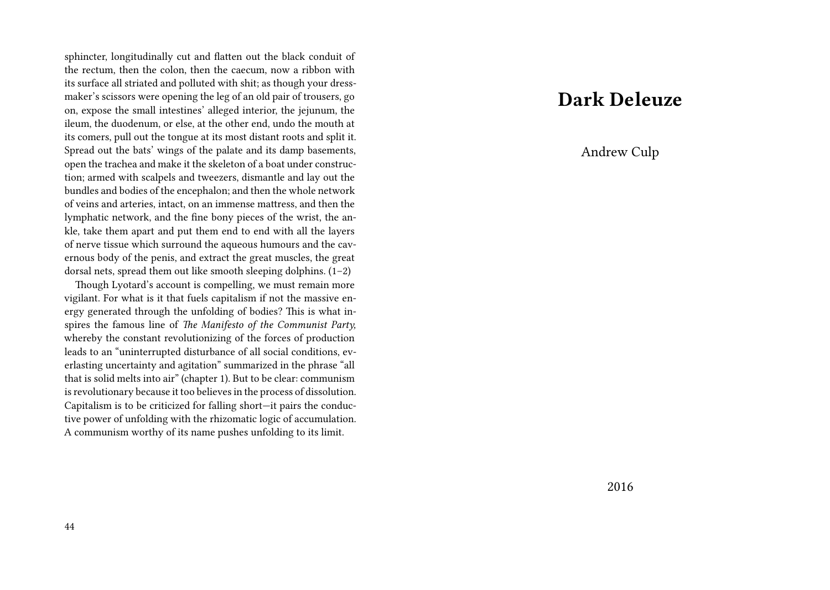sphincter, longitudinally cut and flatten out the black conduit of the rectum, then the colon, then the caecum, now a ribbon with its surface all striated and polluted with shit; as though your dressmaker's scissors were opening the leg of an old pair of trousers, go on, expose the small intestines' alleged interior, the jejunum, the ileum, the duodenum, or else, at the other end, undo the mouth at its comers, pull out the tongue at its most distant roots and split it. Spread out the bats' wings of the palate and its damp basements, open the trachea and make it the skeleton of a boat under construction; armed with scalpels and tweezers, dismantle and lay out the bundles and bodies of the encephalon; and then the whole network of veins and arteries, intact, on an immense mattress, and then the lymphatic network, and the fine bony pieces of the wrist, the ankle, take them apart and put them end to end with all the layers of nerve tissue which surround the aqueous humours and the cavernous body of the penis, and extract the great muscles, the great dorsal nets, spread them out like smooth sleeping dolphins. (1–2)

Though Lyotard's account is compelling, we must remain more vigilant. For what is it that fuels capitalism if not the massive energy generated through the unfolding of bodies? This is what inspires the famous line of *The Manifesto of the Communist Party,* whereby the constant revolutionizing of the forces of production leads to an "uninterrupted disturbance of all social conditions, everlasting uncertainty and agitation" summarized in the phrase "all that is solid melts into air" (chapter 1). But to be clear: communism is revolutionary because it too believes in the process of dissolution. Capitalism is to be criticized for falling short—it pairs the conductive power of unfolding with the rhizomatic logic of accumulation. A communism worthy of its name pushes unfolding to its limit.

# **Dark Deleuze**

Andrew Culp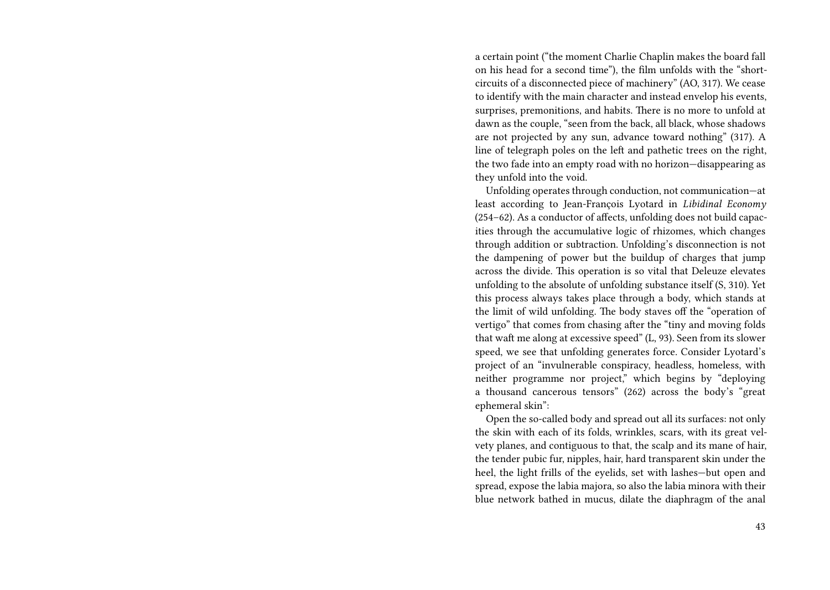a certain point ("the moment Charlie Chaplin makes the board fall on his head for a second time"), the film unfolds with the "shortcircuits of a disconnected piece of machinery" (AO, 317). We cease to identify with the main character and instead envelop his events, surprises, premonitions, and habits. There is no more to unfold at dawn as the couple, "seen from the back, all black, whose shadows are not projected by any sun, advance toward nothing" (317). A line of telegraph poles on the left and pathetic trees on the right, the two fade into an empty road with no horizon—disappearing as they unfold into the void.

Unfolding operates through conduction, not communication—at least according to Jean-François Lyotard in *Libidinal Economy* (254–62). As a conductor of affects, unfolding does not build capacities through the accumulative logic of rhizomes, which changes through addition or subtraction. Unfolding's disconnection is not the dampening of power but the buildup of charges that jump across the divide. This operation is so vital that Deleuze elevates unfolding to the absolute of unfolding substance itself (S, 310). Yet this process always takes place through a body, which stands at the limit of wild unfolding. The body staves off the "operation of vertigo" that comes from chasing after the "tiny and moving folds that waft me along at excessive speed" (L, 93). Seen from its slower speed, we see that unfolding generates force. Consider Lyotard's project of an "invulnerable conspiracy, headless, homeless, with neither programme nor project," which begins by "deploying a thousand cancerous tensors" (262) across the body's "great ephemeral skin":

Open the so-called body and spread out all its surfaces: not only the skin with each of its folds, wrinkles, scars, with its great velvety planes, and contiguous to that, the scalp and its mane of hair, the tender pubic fur, nipples, hair, hard transparent skin under the heel, the light frills of the eyelids, set with lashes—but open and spread, expose the labia majora, so also the labia minora with their blue network bathed in mucus, dilate the diaphragm of the anal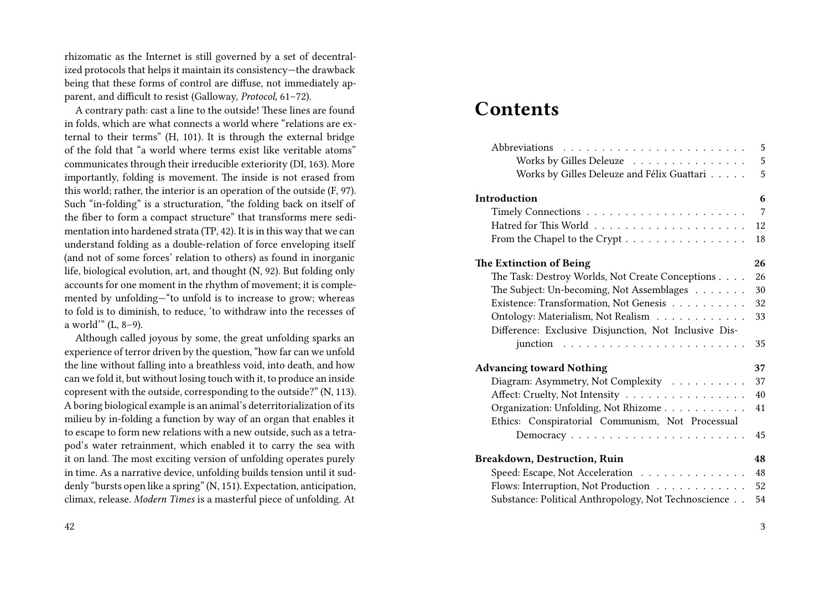rhizomatic as the Internet is still governed by a set of decentralized protocols that helps it maintain its consistency—the drawback being that these forms of control are diffuse, not immediately apparent, and difficult to resist (Galloway, *Protocol,* 61–72).

A contrary path: cast a line to the outside! These lines are found in folds, which are what connects a world where "relations are external to their terms" (H, 101). It is through the external bridge of the fold that "a world where terms exist like veritable atoms" communicates through their irreducible exteriority (DI, 163). More importantly, folding is movement. The inside is not erased from this world; rather, the interior is an operation of the outside (F, 97). Such "in-folding" is a structuration, "the folding back on itself of the fiber to form a compact structure" that transforms mere sedimentation into hardened strata (TP, 42). It is in this way that we can understand folding as a double-relation of force enveloping itself (and not of some forces' relation to others) as found in inorganic life, biological evolution, art, and thought (N, 92). But folding only accounts for one moment in the rhythm of movement; it is complemented by unfolding—"to unfold is to increase to grow; whereas to fold is to diminish, to reduce, 'to withdraw into the recesses of a world'" (L, 8–9).

Although called joyous by some, the great unfolding sparks an experience of terror driven by the question, "how far can we unfold the line without falling into a breathless void, into death, and how can we fold it, but without losing touch with it, to produce an inside copresent with the outside, corresponding to the outside?" (N, 113). A boring biological example is an animal's deterritorialization of its milieu by in-folding a function by way of an organ that enables it to escape to form new relations with a new outside, such as a tetrapod's water retrainment, which enabled it to carry the sea with it on land. The most exciting version of unfolding operates purely in time. As a narrative device, unfolding builds tension until it suddenly "bursts open like a spring" (N, 151). Expectation, anticipation, climax, release. *Modern Times* is a masterful piece of unfolding. At

# **Contents**

| <i>Abbreviations</i>                                  | 5  |
|-------------------------------------------------------|----|
| Works by Gilles Deleuze                               | 5  |
| Works by Gilles Deleuze and Félix Guattari            | 5  |
| <b>Introduction</b>                                   | 6  |
|                                                       | 7  |
|                                                       | 12 |
| From the Chapel to the Crypt                          | 18 |
| The Extinction of Being                               | 26 |
| The Task: Destroy Worlds, Not Create Conceptions      | 26 |
| The Subject: Un-becoming, Not Assemblages             | 30 |
| Existence: Transformation, Not Genesis                | 32 |
| Ontology: Materialism, Not Realism                    | 33 |
| Difference: Exclusive Disjunction, Not Inclusive Dis- |    |
|                                                       | 35 |
| <b>Advancing toward Nothing</b>                       | 37 |
| Diagram: Asymmetry, Not Complexity                    | 37 |
| Affect: Cruelty, Not Intensity                        | 40 |
| Organization: Unfolding, Not Rhizome                  | 41 |
| Ethics: Conspiratorial Communism, Not Processual      |    |
|                                                       | 45 |
| <b>Breakdown, Destruction, Ruin</b>                   | 48 |
| Speed: Escape, Not Acceleration                       | 48 |
| Flows: Interruption, Not Production                   | 52 |
| Substance: Political Anthropology, Not Technoscience  | 54 |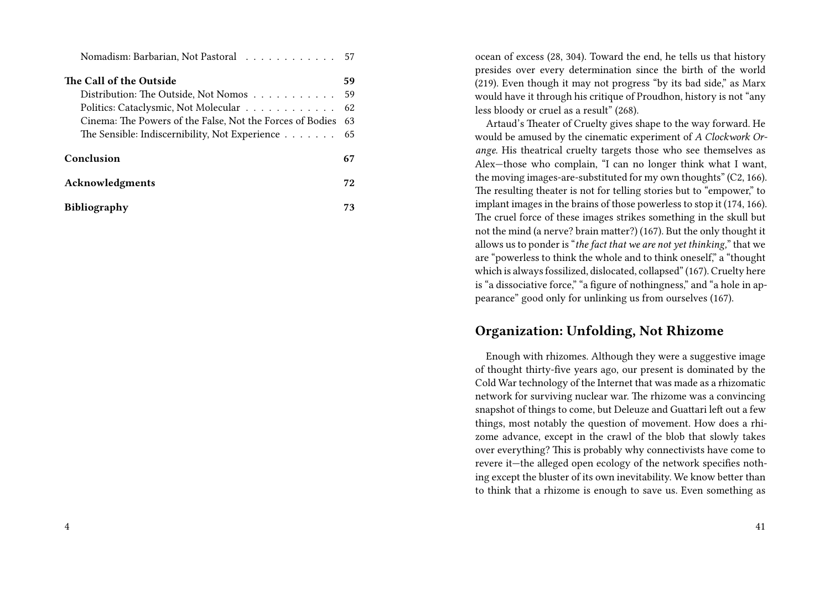| Nomadism: Barbarian, Not Pastoral                         | .57 |  |
|-----------------------------------------------------------|-----|--|
| The Call of the Outside                                   | 59  |  |
| Distribution: The Outside, Not Nomos                      | 59  |  |
| Politics: Cataclysmic, Not Molecular                      |     |  |
| Cinema: The Powers of the False, Not the Forces of Bodies | 63  |  |
| The Sensible: Indiscernibility, Not Experience            | 65  |  |
| Conclusion                                                | 67  |  |
| Acknowledgments                                           | 72  |  |
| <b>Bibliography</b>                                       | 73  |  |

ocean of excess (28, 304). Toward the end, he tells us that history presides over every determination since the birth of the world (219). Even though it may not progress "by its bad side," as Marx would have it through his critique of Proudhon, history is not "any less bloody or cruel as a result" (268).

Artaud's Theater of Cruelty gives shape to the way forward. He would be amused by the cinematic experiment of *A Clockwork Orange*. His theatrical cruelty targets those who see themselves as Alex—those who complain, "I can no longer think what I want, the moving images-are-substituted for my own thoughts" (C2, 166). The resulting theater is not for telling stories but to "empower," to implant images in the brains of those powerless to stop it (174, 166). The cruel force of these images strikes something in the skull but not the mind (a nerve? brain matter?) (167). But the only thought it allows us to ponder is "*the fact that we are not yet thinking,*" that we are "powerless to think the whole and to think oneself," a "thought which is always fossilized, dislocated, collapsed" (167). Cruelty here is "a dissociative force," "a figure of nothingness," and "a hole in appearance" good only for unlinking us from ourselves (167).

#### **Organization: Unfolding, Not Rhizome**

Enough with rhizomes. Although they were a suggestive image of thought thirty-five years ago, our present is dominated by the Cold War technology of the Internet that was made as a rhizomatic network for surviving nuclear war. The rhizome was a convincing snapshot of things to come, but Deleuze and Guattari left out a few things, most notably the question of movement. How does a rhizome advance, except in the crawl of the blob that slowly takes over everything? This is probably why connectivists have come to revere it—the alleged open ecology of the network specifies nothing except the bluster of its own inevitability. We know better than to think that a rhizome is enough to save us. Even something as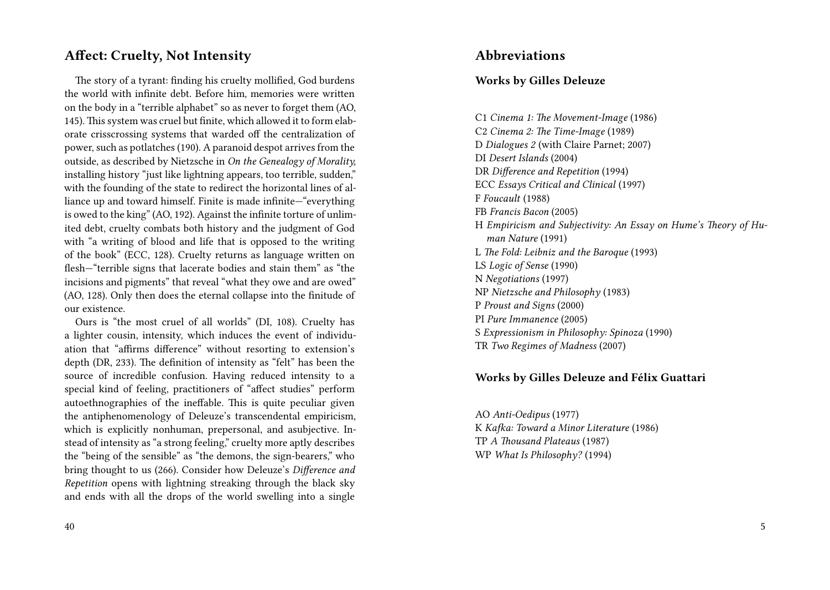## **Affect: Cruelty, Not Intensity**

The story of a tyrant: finding his cruelty mollified, God burdens the world with infinite debt. Before him, memories were written on the body in a "terrible alphabet" so as never to forget them (AO, 145). This system was cruel but finite, which allowed it to form elaborate crisscrossing systems that warded off the centralization of power, such as potlatches (190). A paranoid despot arrives from the outside, as described by Nietzsche in *On the Genealogy of Morality,* installing history "just like lightning appears, too terrible, sudden," with the founding of the state to redirect the horizontal lines of alliance up and toward himself. Finite is made infinite—"everything is owed to the king" (AO, 192). Against the infinite torture of unlimited debt, cruelty combats both history and the judgment of God with "a writing of blood and life that is opposed to the writing of the book" (ECC, 128). Cruelty returns as language written on flesh—"terrible signs that lacerate bodies and stain them" as "the incisions and pigments" that reveal "what they owe and are owed" (AO, 128). Only then does the eternal collapse into the finitude of our existence.

Ours is "the most cruel of all worlds" (DI, 108). Cruelty has a lighter cousin, intensity, which induces the event of individuation that "affirms difference" without resorting to extension's depth (DR, 233). The definition of intensity as "felt" has been the source of incredible confusion. Having reduced intensity to a special kind of feeling, practitioners of "affect studies" perform autoethnographies of the ineffable. This is quite peculiar given the antiphenomenology of Deleuze's transcendental empiricism, which is explicitly nonhuman, prepersonal, and asubjective. Instead of intensity as "a strong feeling," cruelty more aptly describes the "being of the sensible" as "the demons, the sign-bearers," who bring thought to us (266). Consider how Deleuze's *Difference and Repetition* opens with lightning streaking through the black sky and ends with all the drops of the world swelling into a single

### **Abbreviations**

#### **Works by Gilles Deleuze**

C1 *Cinema 1: The Movement-Image* (1986) C2 *Cinema 2: The Time-Image* (1989) D *Dialogues 2* (with Claire Parnet; 2007) DI *Desert Islands* (2004) DR *Difference and Repetition* (1994) ECC *Essays Critical and Clinical* (1997) F *Foucault* (1988) FB *Francis Bacon* (2005) H *Empiricism and Subjectivity: An Essay on Hume's Theory of Human Nature* (1991) L *The Fold: Leibniz and the Baroque* (1993) LS *Logic of Sense* (1990) N *Negotiations* (1997) NP *Nietzsche and Philosophy* (1983) P *Proust and Signs* (2000) PI *Pure Immanence* (2005) S *Expressionism in Philosophy: Spinoza* (1990) TR *Two Regimes of Madness* (2007)

#### **Works by Gilles Deleuze and Félix Guattari**

AO *Anti-Oedipus* (1977) K *Kafka: Toward a Minor Literature* (1986) TP *A Thousand Plateaus* (1987) WP *What Is Philosophy?* (1994)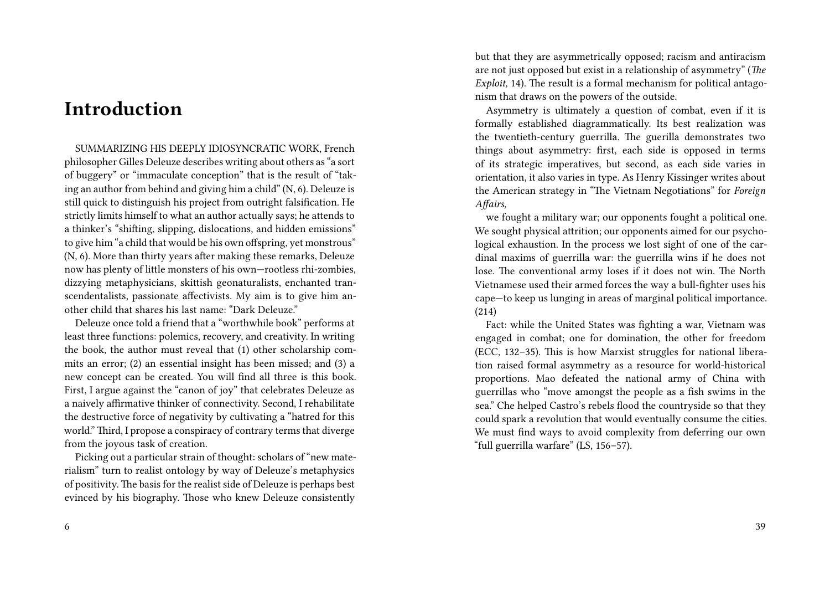# **Introduction**

SUMMARIZING HIS DEEPLY IDIOSYNCRATIC WORK, French philosopher Gilles Deleuze describes writing about others as "a sort of buggery" or "immaculate conception" that is the result of "taking an author from behind and giving him a child" (N, 6). Deleuze is still quick to distinguish his project from outright falsification. He strictly limits himself to what an author actually says; he attends to a thinker's "shifting, slipping, dislocations, and hidden emissions" to give him "a child that would be his own offspring, yet monstrous" (N, 6). More than thirty years after making these remarks, Deleuze now has plenty of little monsters of his own—rootless rhi-zombies, dizzying metaphysicians, skittish geonaturalists, enchanted transcendentalists, passionate affectivists. My aim is to give him another child that shares his last name: "Dark Deleuze."

Deleuze once told a friend that a "worthwhile book" performs at least three functions: polemics, recovery, and creativity. In writing the book, the author must reveal that (1) other scholarship commits an error; (2) an essential insight has been missed; and (3) a new concept can be created. You will find all three is this book. First, I argue against the "canon of joy" that celebrates Deleuze as a naively affirmative thinker of connectivity. Second, I rehabilitate the destructive force of negativity by cultivating a "hatred for this world." Third, I propose a conspiracy of contrary terms that diverge from the joyous task of creation.

Picking out a particular strain of thought: scholars of "new materialism" turn to realist ontology by way of Deleuze's metaphysics of positivity. The basis for the realist side of Deleuze is perhaps best evinced by his biography. Those who knew Deleuze consistently but that they are asymmetrically opposed; racism and antiracism are not just opposed but exist in a relationship of asymmetry" (*The Exploit,* 14). The result is a formal mechanism for political antagonism that draws on the powers of the outside.

Asymmetry is ultimately a question of combat, even if it is formally established diagrammatically. Its best realization was the twentieth-century guerrilla. The guerilla demonstrates two things about asymmetry: first, each side is opposed in terms of its strategic imperatives, but second, as each side varies in orientation, it also varies in type. As Henry Kissinger writes about the American strategy in "The Vietnam Negotiations" for *Foreign Affairs,*

we fought a military war; our opponents fought a political one. We sought physical attrition; our opponents aimed for our psychological exhaustion. In the process we lost sight of one of the cardinal maxims of guerrilla war: the guerrilla wins if he does not lose. The conventional army loses if it does not win. The North Vietnamese used their armed forces the way a bull-fighter uses his cape—to keep us lunging in areas of marginal political importance. (214)

Fact: while the United States was fighting a war, Vietnam was engaged in combat; one for domination, the other for freedom (ECC, 132–35). This is how Marxist struggles for national liberation raised formal asymmetry as a resource for world-historical proportions. Mao defeated the national army of China with guerrillas who "move amongst the people as a fish swims in the sea." Che helped Castro's rebels flood the countryside so that they could spark a revolution that would eventually consume the cities. We must find ways to avoid complexity from deferring our own "full guerrilla warfare" (LS, 156–57).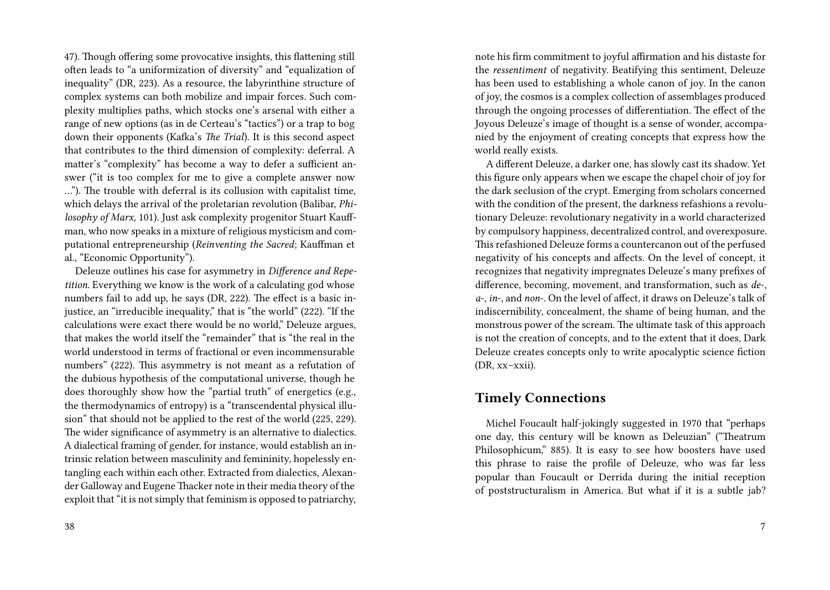47). Though offering some provocative insights, this flattening still often leads to "a uniformization of diversity" and "equalization of inequality" (DR, 223). As a resource, the labyrinthine structure of complex systems can both mobilize and impair forces. Such complexity multiplies paths, which stocks one's arsenal with either a range of new options (as in de Certeau's "tactics") or a trap to bog down their opponents (Kafka's *The Trial*). It is this second aspect that contributes to the third dimension of complexity: deferral. A matter's "complexity" has become a way to defer a sufficient answer ("it is too complex for me to give a complete answer now …"). The trouble with deferral is its collusion with capitalist time, which delays the arrival of the proletarian revolution (Balibar, *Philosophy of Marx,* 101). Just ask complexity progenitor Stuart Kauffman, who now speaks in a mixture of religious mysticism and computational entrepreneurship (*Reinventing the Sacred*; Kauffman et al., "Economic Opportunity").

Deleuze outlines his case for asymmetry in *Difference and Repetition*. Everything we know is the work of a calculating god whose numbers fail to add up, he says (DR, 222). The effect is a basic injustice, an "irreducible inequality," that is "the world" (222). "If the calculations were exact there would be no world," Deleuze argues, that makes the world itself the "remainder" that is "the real in the world understood in terms of fractional or even incommensurable numbers" (222). This asymmetry is not meant as a refutation of the dubious hypothesis of the computational universe, though he does thoroughly show how the "partial truth" of energetics (e.g., the thermodynamics of entropy) is a "transcendental physical illusion" that should not be applied to the rest of the world (225, 229). The wider significance of asymmetry is an alternative to dialectics. A dialectical framing of gender, for instance, would establish an intrinsic relation between masculinity and femininity, hopelessly entangling each within each other. Extracted from dialectics, Alexander Galloway and Eugene Thacker note in their media theory of the exploit that "it is not simply that feminism is opposed to patriarchy,

note his firm commitment to joyful affirmation and his distaste for the *ressentiment* of negativity. Beatifying this sentiment, Deleuze has been used to establishing a whole canon of joy. In the canon of joy, the cosmos is a complex collection of assemblages produced through the ongoing processes of differentiation. The effect of the Joyous Deleuze's image of thought is a sense of wonder, accompanied by the enjoyment of creating concepts that express how the world really exists.

A different Deleuze, a darker one, has slowly cast its shadow. Yet this figure only appears when we escape the chapel choir of joy for the dark seclusion of the crypt. Emerging from scholars concerned with the condition of the present, the darkness refashions a revolutionary Deleuze: revolutionary negativity in a world characterized by compulsory happiness, decentralized control, and overexposure. This refashioned Deleuze forms a countercanon out of the perfused negativity of his concepts and affects. On the level of concept, it recognizes that negativity impregnates Deleuze's many prefixes of difference, becoming, movement, and transformation, such as *de*-, *a*-, *in*-, and *non*-. On the level of affect, it draws on Deleuze's talk of indiscernibility, concealment, the shame of being human, and the monstrous power of the scream. The ultimate task of this approach is not the creation of concepts, and to the extent that it does, Dark Deleuze creates concepts only to write apocalyptic science fiction (DR, xx–xxii).

## **Timely Connections**

Michel Foucault half-jokingly suggested in 1970 that "perhaps one day, this century will be known as Deleuzian" ("Theatrum Philosophicum," 885). It is easy to see how boosters have used this phrase to raise the profile of Deleuze, who was far less popular than Foucault or Derrida during the initial reception of poststructuralism in America. But what if it is a subtle jab?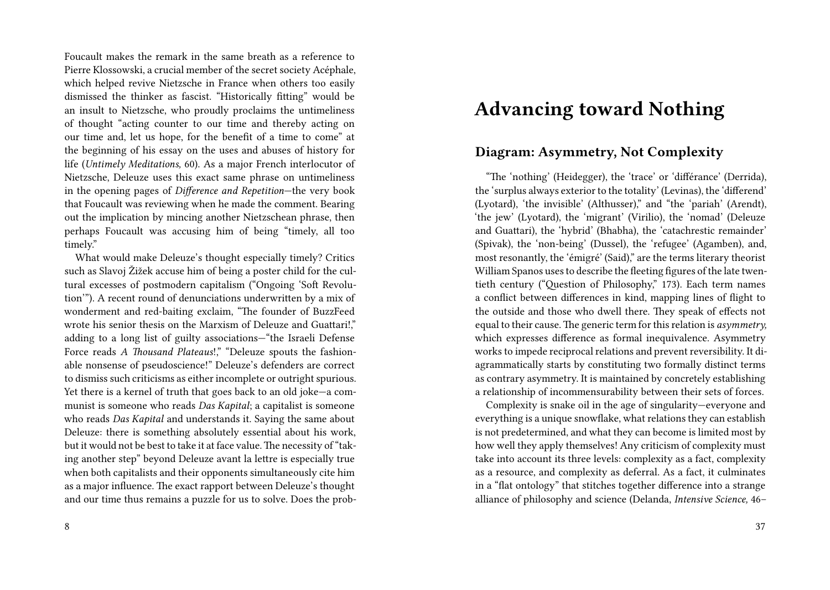Foucault makes the remark in the same breath as a reference to Pierre Klossowski, a crucial member of the secret society Acéphale, which helped revive Nietzsche in France when others too easily dismissed the thinker as fascist. "Historically fitting" would be an insult to Nietzsche, who proudly proclaims the untimeliness of thought "acting counter to our time and thereby acting on our time and, let us hope, for the benefit of a time to come" at the beginning of his essay on the uses and abuses of history for life (*Untimely Meditations,* 60). As a major French interlocutor of Nietzsche, Deleuze uses this exact same phrase on untimeliness in the opening pages of *Difference and Repetition*—the very book that Foucault was reviewing when he made the comment. Bearing out the implication by mincing another Nietzschean phrase, then perhaps Foucault was accusing him of being "timely, all too timely."

What would make Deleuze's thought especially timely? Critics such as Slavoj Žižek accuse him of being a poster child for the cultural excesses of postmodern capitalism ("Ongoing 'Soft Revolution'"). A recent round of denunciations underwritten by a mix of wonderment and red-baiting exclaim, "The founder of BuzzFeed wrote his senior thesis on the Marxism of Deleuze and Guattari!," adding to a long list of guilty associations—"the Israeli Defense Force reads *A Thousand Plateaus*!," "Deleuze spouts the fashionable nonsense of pseudoscience!" Deleuze's defenders are correct to dismiss such criticisms as either incomplete or outright spurious. Yet there is a kernel of truth that goes back to an old joke—a communist is someone who reads *Das Kapital*; a capitalist is someone who reads *Das Kapital* and understands it. Saying the same about Deleuze: there is something absolutely essential about his work, but it would not be best to take it at face value.The necessity of "taking another step" beyond Deleuze avant la lettre is especially true when both capitalists and their opponents simultaneously cite him as a major influence. The exact rapport between Deleuze's thought and our time thus remains a puzzle for us to solve. Does the prob-

# **Advancing toward Nothing**

## **Diagram: Asymmetry, Not Complexity**

"The 'nothing' (Heidegger), the 'trace' or 'différance' (Derrida), the 'surplus always exterior to the totality' (Levinas), the 'differend' (Lyotard), 'the invisible' (Althusser)," and "the 'pariah' (Arendt), 'the jew' (Lyotard), the 'migrant' (Virilio), the 'nomad' (Deleuze and Guattari), the 'hybrid' (Bhabha), the 'catachrestic remainder' (Spivak), the 'non-being' (Dussel), the 'refugee' (Agamben), and, most resonantly, the 'émigré' (Said)," are the terms literary theorist William Spanos uses to describe the fleeting figures of the late twentieth century ("Question of Philosophy," 173). Each term names a conflict between differences in kind, mapping lines of flight to the outside and those who dwell there. They speak of effects not equal to their cause. The generic term for this relation is *asymmetry,* which expresses difference as formal inequivalence. Asymmetry works to impede reciprocal relations and prevent reversibility. It diagrammatically starts by constituting two formally distinct terms as contrary asymmetry. It is maintained by concretely establishing a relationship of incommensurability between their sets of forces.

Complexity is snake oil in the age of singularity—everyone and everything is a unique snowflake, what relations they can establish is not predetermined, and what they can become is limited most by how well they apply themselves! Any criticism of complexity must take into account its three levels: complexity as a fact, complexity as a resource, and complexity as deferral. As a fact, it culminates in a "flat ontology" that stitches together difference into a strange alliance of philosophy and science (Delanda, *Intensive Science,* 46–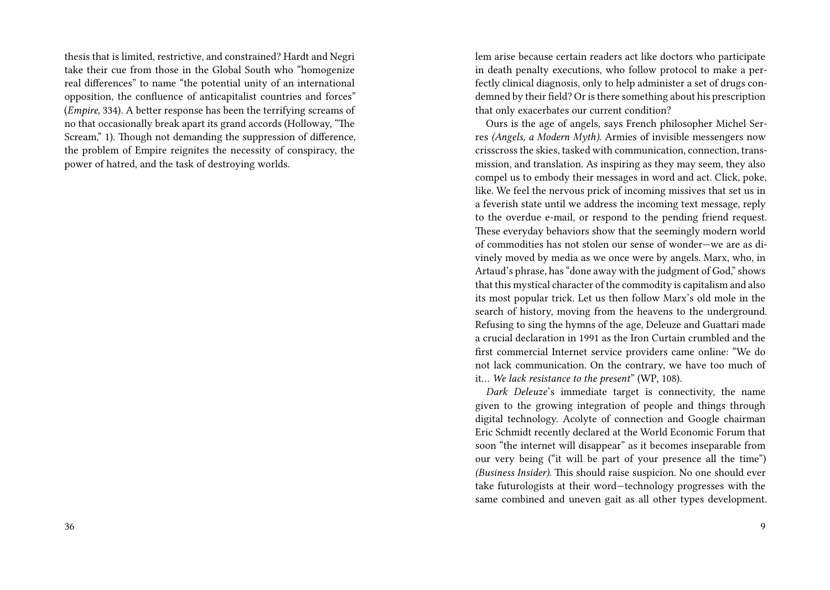thesis that is limited, restrictive, and constrained? Hardt and Negri take their cue from those in the Global South who "homogenize real differences" to name "the potential unity of an international opposition, the confluence of anticapitalist countries and forces" (*Empire,* 334). A better response has been the terrifying screams of no that occasionally break apart its grand accords (Holloway, "The Scream," 1). Though not demanding the suppression of difference, the problem of Empire reignites the necessity of conspiracy, the power of hatred, and the task of destroying worlds.

lem arise because certain readers act like doctors who participate in death penalty executions, who follow protocol to make a perfectly clinical diagnosis, only to help administer a set of drugs condemned by their field? Or is there something about his prescription that only exacerbates our current condition?

Ours is the age of angels, says French philosopher Michel Serres *(Angels, a Modern Myth)*. Armies of invisible messengers now crisscross the skies, tasked with communication, connection, transmission, and translation. As inspiring as they may seem, they also compel us to embody their messages in word and act. Click, poke, like. We feel the nervous prick of incoming missives that set us in a feverish state until we address the incoming text message, reply to the overdue e-mail, or respond to the pending friend request. These everyday behaviors show that the seemingly modern world of commodities has not stolen our sense of wonder—we are as divinely moved by media as we once were by angels. Marx, who, in Artaud's phrase, has "done away with the judgment of God," shows that this mystical character of the commodity is capitalism and also its most popular trick. Let us then follow Marx's old mole in the search of history, moving from the heavens to the underground. Refusing to sing the hymns of the age, Deleuze and Guattari made a crucial declaration in 1991 as the Iron Curtain crumbled and the first commercial Internet service providers came online: "We do not lack communication. On the contrary, we have too much of it… *We lack resistance to the present*" (WP, 108).

*Dark Deleuze*'s immediate target is connectivity, the name given to the growing integration of people and things through digital technology. Acolyte of connection and Google chairman Eric Schmidt recently declared at the World Economic Forum that soon "the internet will disappear" as it becomes inseparable from our very being ("it will be part of your presence all the time") *(Business Insider)*. This should raise suspicion. No one should ever take futurologists at their word—technology progresses with the same combined and uneven gait as all other types development.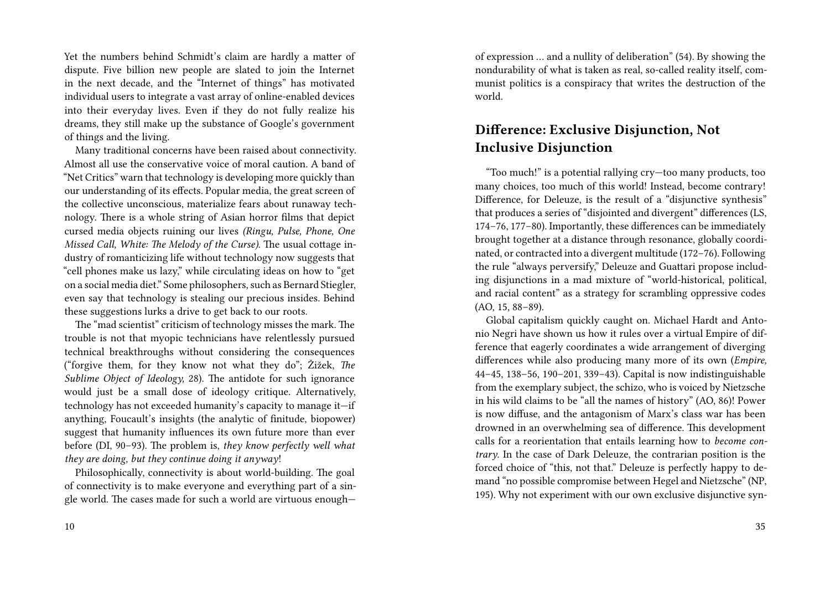Yet the numbers behind Schmidt's claim are hardly a matter of dispute. Five billion new people are slated to join the Internet in the next decade, and the "Internet of things" has motivated individual users to integrate a vast array of online-enabled devices into their everyday lives. Even if they do not fully realize his dreams, they still make up the substance of Google's government of things and the living.

Many traditional concerns have been raised about connectivity. Almost all use the conservative voice of moral caution. A band of "Net Critics" warn that technology is developing more quickly than our understanding of its effects. Popular media, the great screen of the collective unconscious, materialize fears about runaway technology. There is a whole string of Asian horror films that depict cursed media objects ruining our lives *(Ringu, Pulse, Phone, One Missed Call, White: The Melody of the Curse)*. The usual cottage industry of romanticizing life without technology now suggests that "cell phones make us lazy," while circulating ideas on how to "get on a social media diet." Some philosophers, such as Bernard Stiegler, even say that technology is stealing our precious insides. Behind these suggestions lurks a drive to get back to our roots.

The "mad scientist" criticism of technology misses the mark. The trouble is not that myopic technicians have relentlessly pursued technical breakthroughs without considering the consequences ("forgive them, for they know not what they do"; Žižek, *The Sublime Object of Ideology,* 28). The antidote for such ignorance would just be a small dose of ideology critique. Alternatively, technology has not exceeded humanity's capacity to manage it—if anything, Foucault's insights (the analytic of finitude, biopower) suggest that humanity influences its own future more than ever before (DI, 90–93). The problem is, *they know perfectly well what they are doing, but they continue doing it anyway*!

Philosophically, connectivity is about world-building. The goal of connectivity is to make everyone and everything part of a single world. The cases made for such a world are virtuous enoughof expression … and a nullity of deliberation" (54). By showing the nondurability of what is taken as real, so-called reality itself, communist politics is a conspiracy that writes the destruction of the world.

## **Difference: Exclusive Disjunction, Not Inclusive Disjunction**

"Too much!" is a potential rallying cry—too many products, too many choices, too much of this world! Instead, become contrary! Difference, for Deleuze, is the result of a "disjunctive synthesis" that produces a series of "disjointed and divergent" differences (LS, 174–76, 177–80). Importantly, these differences can be immediately brought together at a distance through resonance, globally coordinated, or contracted into a divergent multitude (172–76). Following the rule "always perversify," Deleuze and Guattari propose including disjunctions in a mad mixture of "world-historical, political, and racial content" as a strategy for scrambling oppressive codes (AO, 15, 88–89).

Global capitalism quickly caught on. Michael Hardt and Antonio Negri have shown us how it rules over a virtual Empire of difference that eagerly coordinates a wide arrangement of diverging differences while also producing many more of its own (*Empire,* 44–45, 138–56, 190–201, 339–43). Capital is now indistinguishable from the exemplary subject, the schizo, who is voiced by Nietzsche in his wild claims to be "all the names of history" (AO, 86)! Power is now diffuse, and the antagonism of Marx's class war has been drowned in an overwhelming sea of difference. This development calls for a reorientation that entails learning how to *become contrary*. In the case of Dark Deleuze, the contrarian position is the forced choice of "this, not that." Deleuze is perfectly happy to demand "no possible compromise between Hegel and Nietzsche" (NP, 195). Why not experiment with our own exclusive disjunctive syn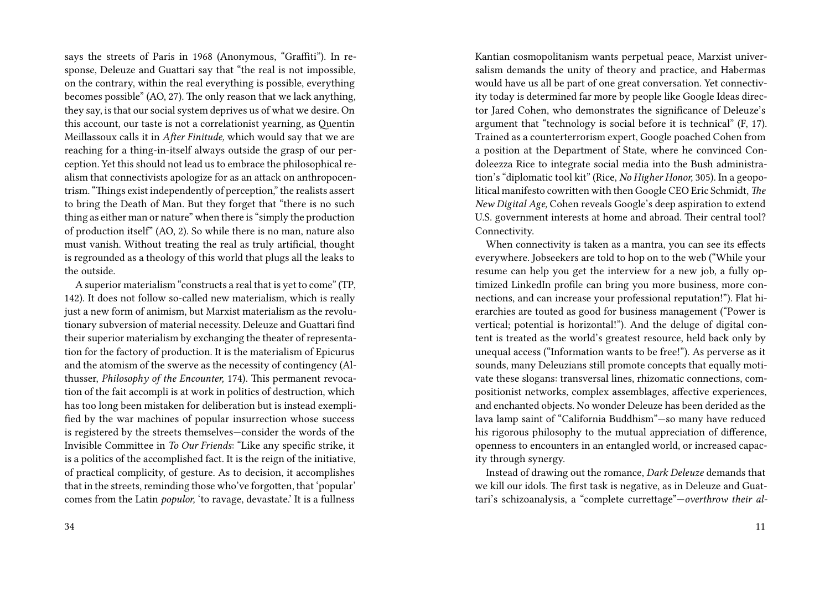says the streets of Paris in 1968 (Anonymous, "Graffiti"). In response, Deleuze and Guattari say that "the real is not impossible, on the contrary, within the real everything is possible, everything becomes possible" (AO, 27). The only reason that we lack anything, they say, is that our social system deprives us of what we desire. On this account, our taste is not a correlationist yearning, as Quentin Meillassoux calls it in *After Finitude,* which would say that we are reaching for a thing-in-itself always outside the grasp of our perception. Yet this should not lead us to embrace the philosophical realism that connectivists apologize for as an attack on anthropocentrism. "Things exist independently of perception," the realists assert to bring the Death of Man. But they forget that "there is no such thing as either man or nature" when there is "simply the production of production itself" (AO, 2). So while there is no man, nature also must vanish. Without treating the real as truly artificial, thought is regrounded as a theology of this world that plugs all the leaks to the outside.

A superior materialism "constructs a real that is yet to come" (TP, 142). It does not follow so-called new materialism, which is really just a new form of animism, but Marxist materialism as the revolutionary subversion of material necessity. Deleuze and Guattari find their superior materialism by exchanging the theater of representation for the factory of production. It is the materialism of Epicurus and the atomism of the swerve as the necessity of contingency (Althusser, *Philosophy of the Encounter,* 174). This permanent revocation of the fait accompli is at work in politics of destruction, which has too long been mistaken for deliberation but is instead exemplified by the war machines of popular insurrection whose success is registered by the streets themselves—consider the words of the Invisible Committee in *To Our Friends*: "Like any specific strike, it is a politics of the accomplished fact. It is the reign of the initiative, of practical complicity, of gesture. As to decision, it accomplishes that in the streets, reminding those who've forgotten, that 'popular' comes from the Latin *populor,* 'to ravage, devastate.' It is a fullness

34

Kantian cosmopolitanism wants perpetual peace, Marxist universalism demands the unity of theory and practice, and Habermas would have us all be part of one great conversation. Yet connectivity today is determined far more by people like Google Ideas director Jared Cohen, who demonstrates the significance of Deleuze's argument that "technology is social before it is technical" (F, 17). Trained as a counterterrorism expert, Google poached Cohen from a position at the Department of State, where he convinced Condoleezza Rice to integrate social media into the Bush administration's "diplomatic tool kit" (Rice, *No Higher Honor,* 305). In a geopolitical manifesto cowritten with then Google CEO Eric Schmidt, *The New Digital Age,* Cohen reveals Google's deep aspiration to extend U.S. government interests at home and abroad. Their central tool? Connectivity.

When connectivity is taken as a mantra, you can see its effects everywhere. Jobseekers are told to hop on to the web ("While your resume can help you get the interview for a new job, a fully optimized LinkedIn profile can bring you more business, more connections, and can increase your professional reputation!"). Flat hierarchies are touted as good for business management ("Power is vertical; potential is horizontal!"). And the deluge of digital content is treated as the world's greatest resource, held back only by unequal access ("Information wants to be free!"). As perverse as it sounds, many Deleuzians still promote concepts that equally motivate these slogans: transversal lines, rhizomatic connections, compositionist networks, complex assemblages, affective experiences, and enchanted objects. No wonder Deleuze has been derided as the lava lamp saint of "California Buddhism"—so many have reduced his rigorous philosophy to the mutual appreciation of difference, openness to encounters in an entangled world, or increased capacity through synergy.

Instead of drawing out the romance, *Dark Deleuze* demands that we kill our idols. The first task is negative, as in Deleuze and Guattari's schizoanalysis, a "complete currettage"—*overthrow their al-*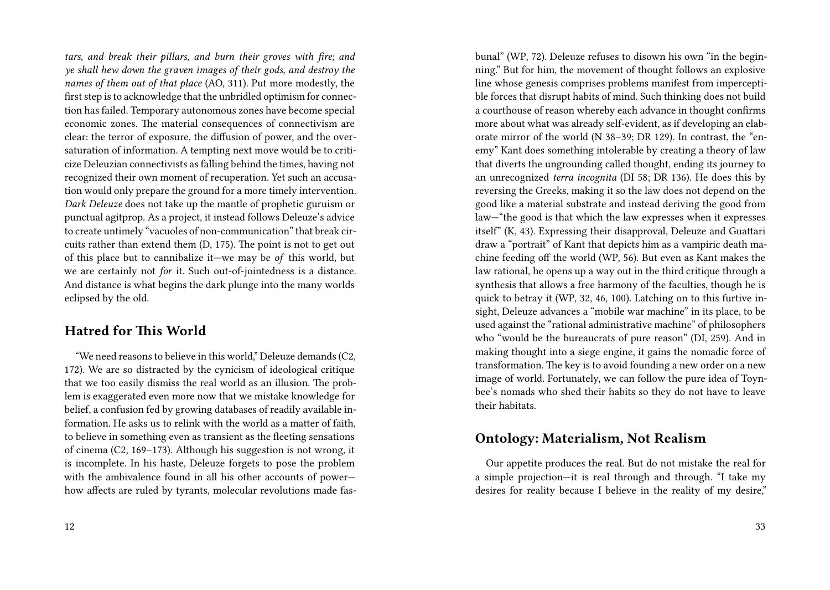*tars, and break their pillars, and burn their groves with fire; and ye shall hew down the graven images of their gods, and destroy the names of them out of that place* (AO, 311). Put more modestly, the first step is to acknowledge that the unbridled optimism for connection has failed. Temporary autonomous zones have become special economic zones. The material consequences of connectivism are clear: the terror of exposure, the diffusion of power, and the oversaturation of information. A tempting next move would be to criticize Deleuzian connectivists as falling behind the times, having not recognized their own moment of recuperation. Yet such an accusation would only prepare the ground for a more timely intervention. *Dark Deleuze* does not take up the mantle of prophetic guruism or punctual agitprop. As a project, it instead follows Deleuze's advice to create untimely "vacuoles of non-communication" that break circuits rather than extend them (D, 175). The point is not to get out of this place but to cannibalize it—we may be *of* this world, but we are certainly not *for* it. Such out-of-jointedness is a distance. And distance is what begins the dark plunge into the many worlds eclipsed by the old.

## **Hatred for This World**

"We need reasons to believe in this world," Deleuze demands (C2, 172). We are so distracted by the cynicism of ideological critique that we too easily dismiss the real world as an illusion. The problem is exaggerated even more now that we mistake knowledge for belief, a confusion fed by growing databases of readily available information. He asks us to relink with the world as a matter of faith, to believe in something even as transient as the fleeting sensations of cinema (C2, 169–173). Although his suggestion is not wrong, it is incomplete. In his haste, Deleuze forgets to pose the problem with the ambivalence found in all his other accounts of power how affects are ruled by tyrants, molecular revolutions made fasbunal" (WP, 72). Deleuze refuses to disown his own "in the beginning." But for him, the movement of thought follows an explosive line whose genesis comprises problems manifest from imperceptible forces that disrupt habits of mind. Such thinking does not build a courthouse of reason whereby each advance in thought confirms more about what was already self-evident, as if developing an elaborate mirror of the world (N 38–39; DR 129). In contrast, the "enemy" Kant does something intolerable by creating a theory of law that diverts the ungrounding called thought, ending its journey to an unrecognized *terra incognita* (DI 58; DR 136). He does this by reversing the Greeks, making it so the law does not depend on the good like a material substrate and instead deriving the good from law—"the good is that which the law expresses when it expresses itself" (K, 43). Expressing their disapproval, Deleuze and Guattari draw a "portrait" of Kant that depicts him as a vampiric death machine feeding off the world (WP, 56). But even as Kant makes the law rational, he opens up a way out in the third critique through a synthesis that allows a free harmony of the faculties, though he is quick to betray it (WP, 32, 46, 100). Latching on to this furtive insight, Deleuze advances a "mobile war machine" in its place, to be used against the "rational administrative machine" of philosophers who "would be the bureaucrats of pure reason" (DI, 259). And in making thought into a siege engine, it gains the nomadic force of transformation. The key is to avoid founding a new order on a new image of world. Fortunately, we can follow the pure idea of Toynbee's nomads who shed their habits so they do not have to leave their habitats.

#### **Ontology: Materialism, Not Realism**

Our appetite produces the real. But do not mistake the real for a simple projection—it is real through and through. "I take my desires for reality because I believe in the reality of my desire,"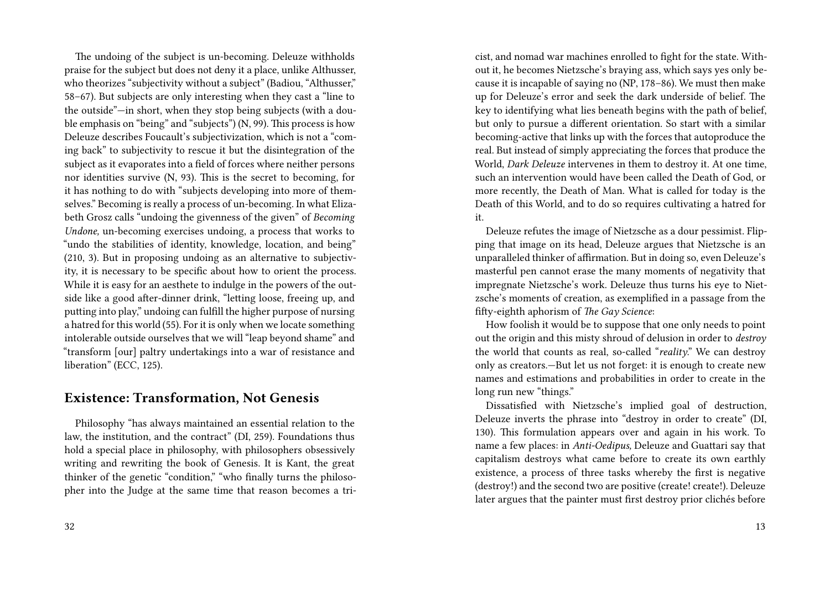The undoing of the subject is un-becoming. Deleuze withholds praise for the subject but does not deny it a place, unlike Althusser, who theorizes "subjectivity without a subject" (Badiou, "Althusser," 58–67). But subjects are only interesting when they cast a "line to the outside"—in short, when they stop being subjects (with a double emphasis on "being" and "subjects") (N, 99). This process is how Deleuze describes Foucault's subjectivization, which is not a "coming back" to subjectivity to rescue it but the disintegration of the subject as it evaporates into a field of forces where neither persons nor identities survive (N, 93). This is the secret to becoming, for it has nothing to do with "subjects developing into more of themselves." Becoming is really a process of un-becoming. In what Elizabeth Grosz calls "undoing the givenness of the given" of *Becoming Undone,* un-becoming exercises undoing, a process that works to "undo the stabilities of identity, knowledge, location, and being" (210, 3). But in proposing undoing as an alternative to subjectivity, it is necessary to be specific about how to orient the process. While it is easy for an aesthete to indulge in the powers of the outside like a good after-dinner drink, "letting loose, freeing up, and putting into play," undoing can fulfill the higher purpose of nursing a hatred for this world (55). For it is only when we locate something intolerable outside ourselves that we will "leap beyond shame" and "transform [our] paltry undertakings into a war of resistance and liberation" (ECC, 125).

## **Existence: Transformation, Not Genesis**

Philosophy "has always maintained an essential relation to the law, the institution, and the contract" (DI, 259). Foundations thus hold a special place in philosophy, with philosophers obsessively writing and rewriting the book of Genesis. It is Kant, the great thinker of the genetic "condition," "who finally turns the philosopher into the Judge at the same time that reason becomes a tri-

cist, and nomad war machines enrolled to fight for the state. Without it, he becomes Nietzsche's braying ass, which says yes only because it is incapable of saying no (NP, 178–86). We must then make up for Deleuze's error and seek the dark underside of belief. The key to identifying what lies beneath begins with the path of belief, but only to pursue a different orientation. So start with a similar becoming-active that links up with the forces that autoproduce the real. But instead of simply appreciating the forces that produce the World, *Dark Deleuze* intervenes in them to destroy it. At one time, such an intervention would have been called the Death of God, or more recently, the Death of Man. What is called for today is the Death of this World, and to do so requires cultivating a hatred for it.

Deleuze refutes the image of Nietzsche as a dour pessimist. Flipping that image on its head, Deleuze argues that Nietzsche is an unparalleled thinker of affirmation. But in doing so, even Deleuze's masterful pen cannot erase the many moments of negativity that impregnate Nietzsche's work. Deleuze thus turns his eye to Nietzsche's moments of creation, as exemplified in a passage from the fifty-eighth aphorism of *The Gay Science*:

How foolish it would be to suppose that one only needs to point out the origin and this misty shroud of delusion in order to *destroy* the world that counts as real, so-called "*reality*." We can destroy only as creators.—But let us not forget: it is enough to create new names and estimations and probabilities in order to create in the long run new "things."

Dissatisfied with Nietzsche's implied goal of destruction, Deleuze inverts the phrase into "destroy in order to create" (DI, 130). This formulation appears over and again in his work. To name a few places: in *Anti-Oedipus,* Deleuze and Guattari say that capitalism destroys what came before to create its own earthly existence, a process of three tasks whereby the first is negative (destroy!) and the second two are positive (create! create!). Deleuze later argues that the painter must first destroy prior clichés before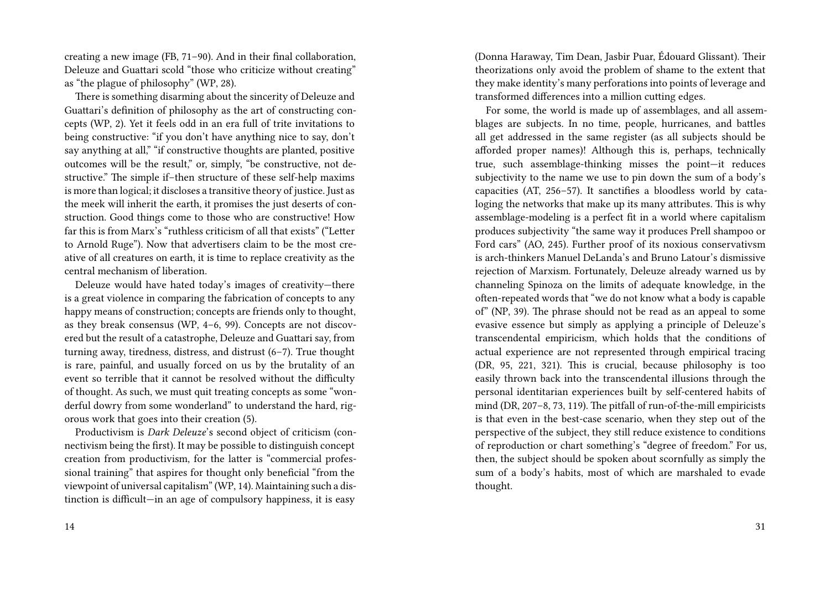creating a new image (FB, 71–90). And in their final collaboration, Deleuze and Guattari scold "those who criticize without creating" as "the plague of philosophy" (WP, 28).

There is something disarming about the sincerity of Deleuze and Guattari's definition of philosophy as the art of constructing concepts (WP, 2). Yet it feels odd in an era full of trite invitations to being constructive: "if you don't have anything nice to say, don't say anything at all," "if constructive thoughts are planted, positive outcomes will be the result," or, simply, "be constructive, not destructive." The simple if–then structure of these self-help maxims is more than logical; it discloses a transitive theory of justice. Just as the meek will inherit the earth, it promises the just deserts of construction. Good things come to those who are constructive! How far this is from Marx's "ruthless criticism of all that exists" ("Letter to Arnold Ruge"). Now that advertisers claim to be the most creative of all creatures on earth, it is time to replace creativity as the central mechanism of liberation.

Deleuze would have hated today's images of creativity—there is a great violence in comparing the fabrication of concepts to any happy means of construction; concepts are friends only to thought, as they break consensus (WP, 4–6, 99). Concepts are not discovered but the result of a catastrophe, Deleuze and Guattari say, from turning away, tiredness, distress, and distrust (6–7). True thought is rare, painful, and usually forced on us by the brutality of an event so terrible that it cannot be resolved without the difficulty of thought. As such, we must quit treating concepts as some "wonderful dowry from some wonderland" to understand the hard, rigorous work that goes into their creation (5).

Productivism is *Dark Deleuze*'s second object of criticism (connectivism being the first). It may be possible to distinguish concept creation from productivism, for the latter is "commercial professional training" that aspires for thought only beneficial "from the viewpoint of universal capitalism" (WP, 14). Maintaining such a distinction is difficult—in an age of compulsory happiness, it is easy (Donna Haraway, Tim Dean, Jasbir Puar, Édouard Glissant). Their theorizations only avoid the problem of shame to the extent that they make identity's many perforations into points of leverage and transformed differences into a million cutting edges.

For some, the world is made up of assemblages, and all assemblages are subjects. In no time, people, hurricanes, and battles all get addressed in the same register (as all subjects should be afforded proper names)! Although this is, perhaps, technically true, such assemblage-thinking misses the point—it reduces subjectivity to the name we use to pin down the sum of a body's capacities (AT, 256–57). It sanctifies a bloodless world by cataloging the networks that make up its many attributes. This is why assemblage-modeling is a perfect fit in a world where capitalism produces subjectivity "the same way it produces Prell shampoo or Ford cars" (AO, 245). Further proof of its noxious conservativsm is arch-thinkers Manuel DeLanda's and Bruno Latour's dismissive rejection of Marxism. Fortunately, Deleuze already warned us by channeling Spinoza on the limits of adequate knowledge, in the often-repeated words that "we do not know what a body is capable of" (NP, 39). The phrase should not be read as an appeal to some evasive essence but simply as applying a principle of Deleuze's transcendental empiricism, which holds that the conditions of actual experience are not represented through empirical tracing (DR, 95, 221, 321). This is crucial, because philosophy is too easily thrown back into the transcendental illusions through the personal identitarian experiences built by self-centered habits of mind (DR, 207–8, 73, 119). The pitfall of run-of-the-mill empiricists is that even in the best-case scenario, when they step out of the perspective of the subject, they still reduce existence to conditions of reproduction or chart something's "degree of freedom." For us, then, the subject should be spoken about scornfully as simply the sum of a body's habits, most of which are marshaled to evade thought.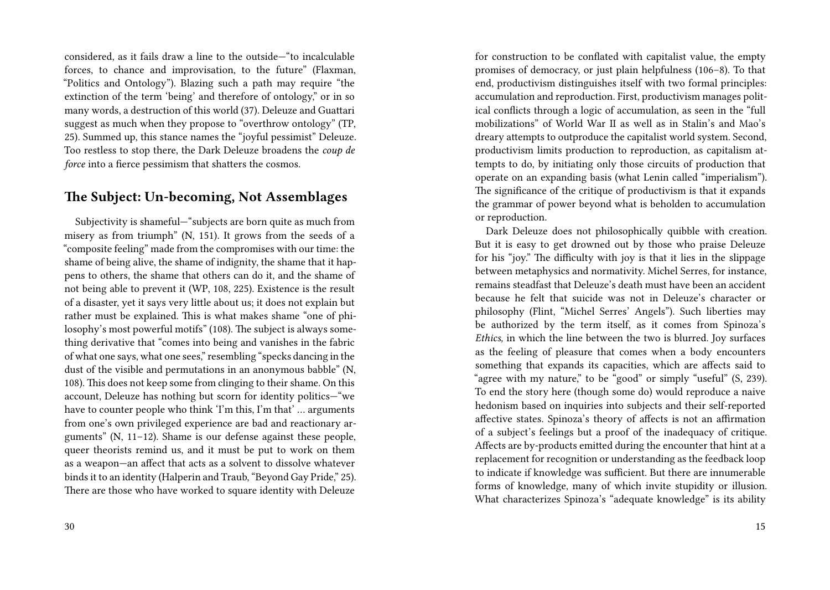considered, as it fails draw a line to the outside—"to incalculable forces, to chance and improvisation, to the future" (Flaxman, "Politics and Ontology"). Blazing such a path may require "the extinction of the term 'being' and therefore of ontology," or in so many words, a destruction of this world (37). Deleuze and Guattari suggest as much when they propose to "overthrow ontology" (TP, 25). Summed up, this stance names the "joyful pessimist" Deleuze. Too restless to stop there, the Dark Deleuze broadens the *coup de force* into a fierce pessimism that shatters the cosmos.

#### **The Subject: Un-becoming, Not Assemblages**

Subjectivity is shameful—"subjects are born quite as much from misery as from triumph" (N, 151). It grows from the seeds of a "composite feeling" made from the compromises with our time: the shame of being alive, the shame of indignity, the shame that it happens to others, the shame that others can do it, and the shame of not being able to prevent it (WP, 108, 225). Existence is the result of a disaster, yet it says very little about us; it does not explain but rather must be explained. This is what makes shame "one of philosophy's most powerful motifs" (108). The subject is always something derivative that "comes into being and vanishes in the fabric of what one says, what one sees," resembling "specks dancing in the dust of the visible and permutations in an anonymous babble" (N, 108). This does not keep some from clinging to their shame. On this account, Deleuze has nothing but scorn for identity politics—"we have to counter people who think 'I'm this, I'm that' … arguments from one's own privileged experience are bad and reactionary arguments" (N, 11–12). Shame is our defense against these people, queer theorists remind us, and it must be put to work on them as a weapon—an affect that acts as a solvent to dissolve whatever binds it to an identity (Halperin and Traub, "Beyond Gay Pride," 25). There are those who have worked to square identity with Deleuze for construction to be conflated with capitalist value, the empty promises of democracy, or just plain helpfulness (106–8). To that end, productivism distinguishes itself with two formal principles: accumulation and reproduction. First, productivism manages political conflicts through a logic of accumulation, as seen in the "full mobilizations" of World War II as well as in Stalin's and Mao's dreary attempts to outproduce the capitalist world system. Second, productivism limits production to reproduction, as capitalism attempts to do, by initiating only those circuits of production that operate on an expanding basis (what Lenin called "imperialism"). The significance of the critique of productivism is that it expands the grammar of power beyond what is beholden to accumulation or reproduction.

Dark Deleuze does not philosophically quibble with creation. But it is easy to get drowned out by those who praise Deleuze for his "joy." The difficulty with joy is that it lies in the slippage between metaphysics and normativity. Michel Serres, for instance, remains steadfast that Deleuze's death must have been an accident because he felt that suicide was not in Deleuze's character or philosophy (Flint, "Michel Serres' Angels"). Such liberties may be authorized by the term itself, as it comes from Spinoza's *Ethics,* in which the line between the two is blurred. Joy surfaces as the feeling of pleasure that comes when a body encounters something that expands its capacities, which are affects said to "agree with my nature," to be "good" or simply "useful" (S, 239). To end the story here (though some do) would reproduce a naive hedonism based on inquiries into subjects and their self-reported affective states. Spinoza's theory of affects is not an affirmation of a subject's feelings but a proof of the inadequacy of critique. Affects are by-products emitted during the encounter that hint at a replacement for recognition or understanding as the feedback loop to indicate if knowledge was sufficient. But there are innumerable forms of knowledge, many of which invite stupidity or illusion. What characterizes Spinoza's "adequate knowledge" is its ability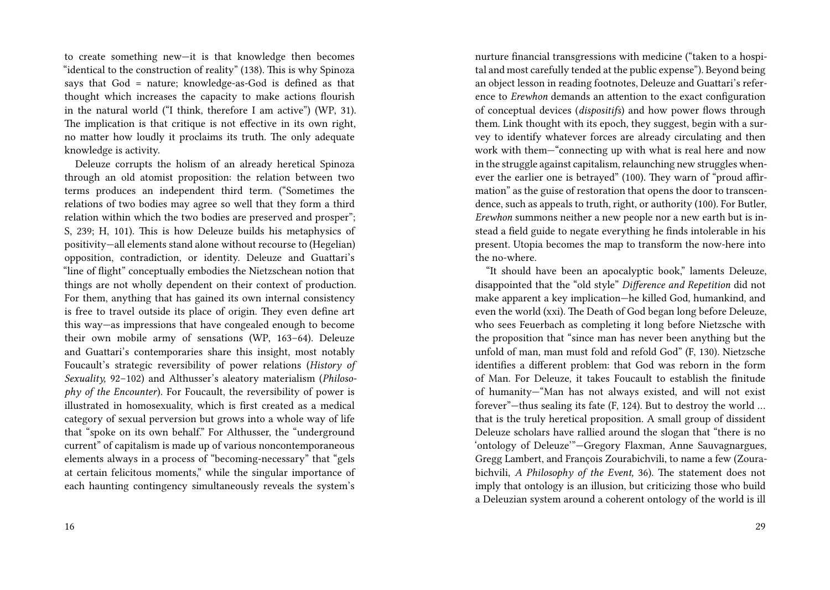to create something new—it is that knowledge then becomes "identical to the construction of reality" (138). This is why Spinoza says that God = nature; knowledge-as-God is defined as that thought which increases the capacity to make actions flourish in the natural world ("I think, therefore I am active") (WP, 31). The implication is that critique is not effective in its own right, no matter how loudly it proclaims its truth. The only adequate knowledge is activity.

Deleuze corrupts the holism of an already heretical Spinoza through an old atomist proposition: the relation between two terms produces an independent third term. ("Sometimes the relations of two bodies may agree so well that they form a third relation within which the two bodies are preserved and prosper"; S, 239; H, 101). This is how Deleuze builds his metaphysics of positivity—all elements stand alone without recourse to (Hegelian) opposition, contradiction, or identity. Deleuze and Guattari's "line of flight" conceptually embodies the Nietzschean notion that things are not wholly dependent on their context of production. For them, anything that has gained its own internal consistency is free to travel outside its place of origin. They even define art this way—as impressions that have congealed enough to become their own mobile army of sensations (WP, 163–64). Deleuze and Guattari's contemporaries share this insight, most notably Foucault's strategic reversibility of power relations (*History of Sexuality,* 92–102) and Althusser's aleatory materialism (*Philosophy of the Encounter*). For Foucault, the reversibility of power is illustrated in homosexuality, which is first created as a medical category of sexual perversion but grows into a whole way of life that "spoke on its own behalf." For Althusser, the "underground current" of capitalism is made up of various noncontemporaneous elements always in a process of "becoming-necessary" that "gels at certain felicitous moments," while the singular importance of each haunting contingency simultaneously reveals the system's

16

nurture financial transgressions with medicine ("taken to a hospital and most carefully tended at the public expense"). Beyond being an object lesson in reading footnotes, Deleuze and Guattari's reference to *Erewhon* demands an attention to the exact configuration of conceptual devices (*dispositifs*) and how power flows through them. Link thought with its epoch, they suggest, begin with a survey to identify whatever forces are already circulating and then work with them—"connecting up with what is real here and now in the struggle against capitalism, relaunching new struggles whenever the earlier one is betrayed" (100). They warn of "proud affirmation" as the guise of restoration that opens the door to transcendence, such as appeals to truth, right, or authority (100). For Butler, *Erewhon* summons neither a new people nor a new earth but is instead a field guide to negate everything he finds intolerable in his present. Utopia becomes the map to transform the now-here into the no-where.

"It should have been an apocalyptic book," laments Deleuze, disappointed that the "old style" *Difference and Repetition* did not make apparent a key implication—he killed God, humankind, and even the world (xxi). The Death of God began long before Deleuze, who sees Feuerbach as completing it long before Nietzsche with the proposition that "since man has never been anything but the unfold of man, man must fold and refold God" (F, 130). Nietzsche identifies a different problem: that God was reborn in the form of Man. For Deleuze, it takes Foucault to establish the finitude of humanity—"Man has not always existed, and will not exist forever"—thus sealing its fate (F, 124). But to destroy the world … that is the truly heretical proposition. A small group of dissident Deleuze scholars have rallied around the slogan that "there is no 'ontology of Deleuze'"—Gregory Flaxman, Anne Sauvagnargues, Gregg Lambert, and François Zourabichvili, to name a few (Zourabichvili, *A Philosophy of the Event,* 36). The statement does not imply that ontology is an illusion, but criticizing those who build a Deleuzian system around a coherent ontology of the world is ill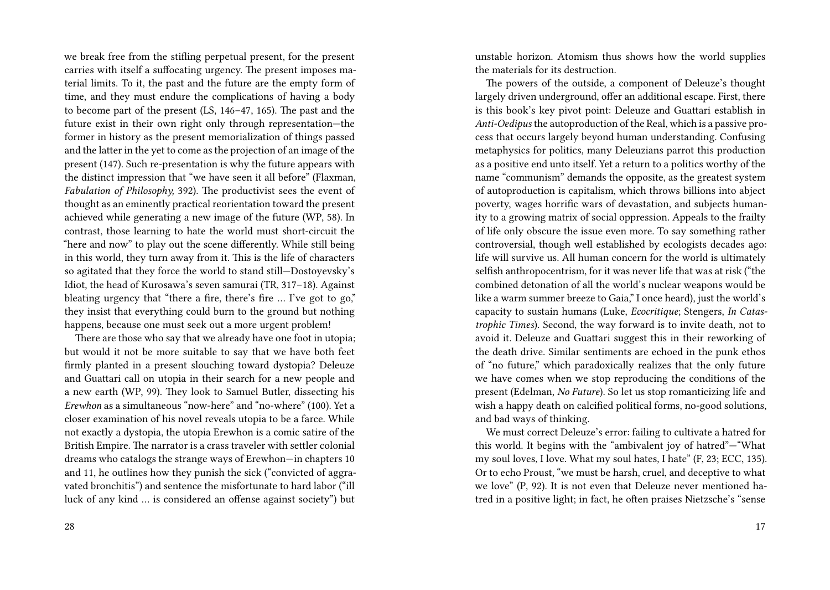we break free from the stifling perpetual present, for the present carries with itself a suffocating urgency. The present imposes material limits. To it, the past and the future are the empty form of time, and they must endure the complications of having a body to become part of the present (LS, 146–47, 165). The past and the future exist in their own right only through representation—the former in history as the present memorialization of things passed and the latter in the yet to come as the projection of an image of the present (147). Such re-presentation is why the future appears with the distinct impression that "we have seen it all before" (Flaxman, *Fabulation of Philosophy,* 392). The productivist sees the event of thought as an eminently practical reorientation toward the present achieved while generating a new image of the future (WP, 58). In contrast, those learning to hate the world must short-circuit the "here and now" to play out the scene differently. While still being in this world, they turn away from it. This is the life of characters so agitated that they force the world to stand still—Dostoyevsky's Idiot, the head of Kurosawa's seven samurai (TR, 317–18). Against bleating urgency that "there a fire, there's fire … I've got to go," they insist that everything could burn to the ground but nothing happens, because one must seek out a more urgent problem!

There are those who say that we already have one foot in utopia; but would it not be more suitable to say that we have both feet firmly planted in a present slouching toward dystopia? Deleuze and Guattari call on utopia in their search for a new people and a new earth (WP, 99). They look to Samuel Butler, dissecting his *Erewhon* as a simultaneous "now-here" and "no-where" (100). Yet a closer examination of his novel reveals utopia to be a farce. While not exactly a dystopia, the utopia Erewhon is a comic satire of the British Empire. The narrator is a crass traveler with settler colonial dreams who catalogs the strange ways of Erewhon—in chapters 10 and 11, he outlines how they punish the sick ("convicted of aggravated bronchitis") and sentence the misfortunate to hard labor ("ill luck of any kind … is considered an offense against society") but unstable horizon. Atomism thus shows how the world supplies the materials for its destruction.

The powers of the outside, a component of Deleuze's thought largely driven underground, offer an additional escape. First, there is this book's key pivot point: Deleuze and Guattari establish in *Anti-Oedipus* the autoproduction of the Real, which is a passive process that occurs largely beyond human understanding. Confusing metaphysics for politics, many Deleuzians parrot this production as a positive end unto itself. Yet a return to a politics worthy of the name "communism" demands the opposite, as the greatest system of autoproduction is capitalism, which throws billions into abject poverty, wages horrific wars of devastation, and subjects humanity to a growing matrix of social oppression. Appeals to the frailty of life only obscure the issue even more. To say something rather controversial, though well established by ecologists decades ago: life will survive us. All human concern for the world is ultimately selfish anthropocentrism, for it was never life that was at risk ("the combined detonation of all the world's nuclear weapons would be like a warm summer breeze to Gaia," I once heard), just the world's capacity to sustain humans (Luke, *Ecocritique*; Stengers, *In Catastrophic Times*). Second, the way forward is to invite death, not to avoid it. Deleuze and Guattari suggest this in their reworking of the death drive. Similar sentiments are echoed in the punk ethos of "no future," which paradoxically realizes that the only future we have comes when we stop reproducing the conditions of the present (Edelman, *No Future*). So let us stop romanticizing life and wish a happy death on calcified political forms, no-good solutions, and bad ways of thinking.

We must correct Deleuze's error: failing to cultivate a hatred for this world. It begins with the "ambivalent joy of hatred"—"What my soul loves, I love. What my soul hates, I hate" (F, 23; ECC, 135). Or to echo Proust, "we must be harsh, cruel, and deceptive to what we love" (P, 92). It is not even that Deleuze never mentioned hatred in a positive light; in fact, he often praises Nietzsche's "sense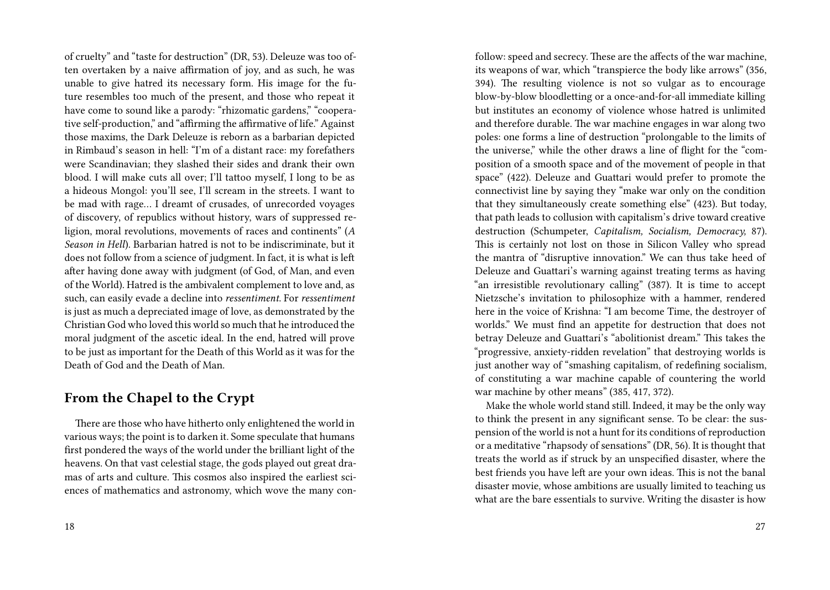of cruelty" and "taste for destruction" (DR, 53). Deleuze was too often overtaken by a naive affirmation of joy, and as such, he was unable to give hatred its necessary form. His image for the future resembles too much of the present, and those who repeat it have come to sound like a parody: "rhizomatic gardens," "cooperative self-production," and "affirming the affirmative of life." Against those maxims, the Dark Deleuze is reborn as a barbarian depicted in Rimbaud's season in hell: "I'm of a distant race: my forefathers were Scandinavian; they slashed their sides and drank their own blood. I will make cuts all over; I'll tattoo myself, I long to be as a hideous Mongol: you'll see, I'll scream in the streets. I want to be mad with rage… I dreamt of crusades, of unrecorded voyages of discovery, of republics without history, wars of suppressed religion, moral revolutions, movements of races and continents" (*A Season in Hell*). Barbarian hatred is not to be indiscriminate, but it does not follow from a science of judgment. In fact, it is what is left after having done away with judgment (of God, of Man, and even of the World). Hatred is the ambivalent complement to love and, as such, can easily evade a decline into *ressentiment*. For *ressentiment* is just as much a depreciated image of love, as demonstrated by the Christian God who loved this world so much that he introduced the moral judgment of the ascetic ideal. In the end, hatred will prove to be just as important for the Death of this World as it was for the Death of God and the Death of Man.

## **From the Chapel to the Crypt**

There are those who have hitherto only enlightened the world in various ways; the point is to darken it. Some speculate that humans first pondered the ways of the world under the brilliant light of the heavens. On that vast celestial stage, the gods played out great dramas of arts and culture. This cosmos also inspired the earliest sciences of mathematics and astronomy, which wove the many confollow: speed and secrecy. These are the affects of the war machine, its weapons of war, which "transpierce the body like arrows" (356, 394). The resulting violence is not so vulgar as to encourage blow-by-blow bloodletting or a once-and-for-all immediate killing but institutes an economy of violence whose hatred is unlimited and therefore durable. The war machine engages in war along two poles: one forms a line of destruction "prolongable to the limits of the universe," while the other draws a line of flight for the "composition of a smooth space and of the movement of people in that space" (422). Deleuze and Guattari would prefer to promote the connectivist line by saying they "make war only on the condition that they simultaneously create something else" (423). But today, that path leads to collusion with capitalism's drive toward creative destruction (Schumpeter, *Capitalism, Socialism, Democracy,* 87). This is certainly not lost on those in Silicon Valley who spread the mantra of "disruptive innovation." We can thus take heed of Deleuze and Guattari's warning against treating terms as having "an irresistible revolutionary calling" (387). It is time to accept Nietzsche's invitation to philosophize with a hammer, rendered here in the voice of Krishna: "I am become Time, the destroyer of worlds." We must find an appetite for destruction that does not betray Deleuze and Guattari's "abolitionist dream." This takes the "progressive, anxiety-ridden revelation" that destroying worlds is just another way of "smashing capitalism, of redefining socialism, of constituting a war machine capable of countering the world war machine by other means" (385, 417, 372).

Make the whole world stand still. Indeed, it may be the only way to think the present in any significant sense. To be clear: the suspension of the world is not a hunt for its conditions of reproduction or a meditative "rhapsody of sensations" (DR, 56). It is thought that treats the world as if struck by an unspecified disaster, where the best friends you have left are your own ideas. This is not the banal disaster movie, whose ambitions are usually limited to teaching us what are the bare essentials to survive. Writing the disaster is how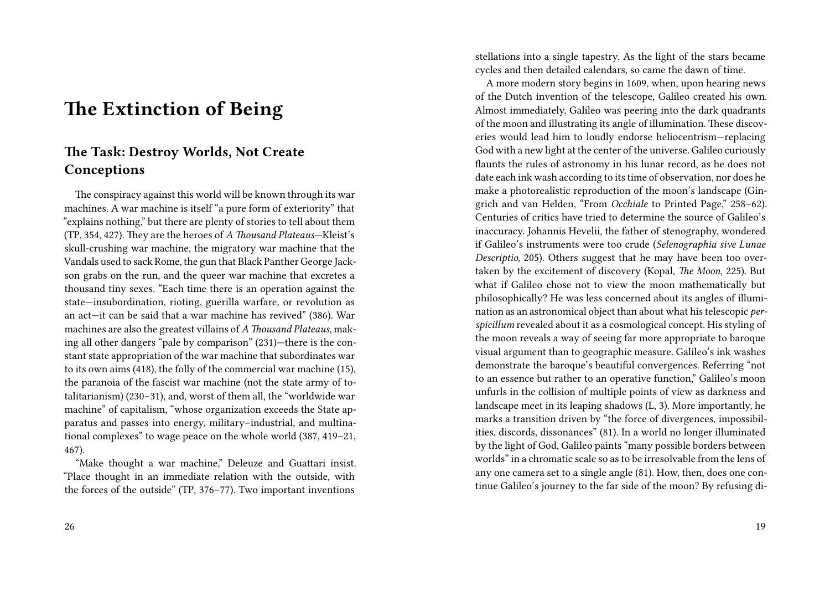# **The Extinction of Being**

## **The Task: Destroy Worlds, Not Create Conceptions**

The conspiracy against this world will be known through its war machines. A war machine is itself "a pure form of exteriority" that "explains nothing," but there are plenty of stories to tell about them (TP, 354, 427). They are the heroes of *A Thousand Plateaus*—Kleist's skull-crushing war machine, the migratory war machine that the Vandals used to sack Rome, the gun that Black Panther George Jackson grabs on the run, and the queer war machine that excretes a thousand tiny sexes. "Each time there is an operation against the state—insubordination, rioting, guerilla warfare, or revolution as an act—it can be said that a war machine has revived" (386). War machines are also the greatest villains of *A Thousand Plateaus,* making all other dangers "pale by comparison" (231)—there is the constant state appropriation of the war machine that subordinates war to its own aims (418), the folly of the commercial war machine (15), the paranoia of the fascist war machine (not the state army of totalitarianism) (230–31), and, worst of them all, the "worldwide war machine" of capitalism, "whose organization exceeds the State apparatus and passes into energy, military–industrial, and multinational complexes" to wage peace on the whole world (387, 419–21, 467).

"Make thought a war machine," Deleuze and Guattari insist. "Place thought in an immediate relation with the outside, with the forces of the outside" (TP, 376–77). Two important inventions

stellations into a single tapestry. As the light of the stars became cycles and then detailed calendars, so came the dawn of time.

A more modern story begins in 1609, when, upon hearing news of the Dutch invention of the telescope, Galileo created his own. Almost immediately, Galileo was peering into the dark quadrants of the moon and illustrating its angle of illumination. These discoveries would lead him to loudly endorse heliocentrism—replacing God with a new light at the center of the universe. Galileo curiously flaunts the rules of astronomy in his lunar record, as he does not date each ink wash according to its time of observation, nor does he make a photorealistic reproduction of the moon's landscape (Gingrich and van Helden, "From *Occhiale* to Printed Page," 258–62). Centuries of critics have tried to determine the source of Galileo's inaccuracy. Johannis Hevelii, the father of stenography, wondered if Galileo's instruments were too crude (*Selenographia sive Lunae Descriptio,* 205). Others suggest that he may have been too overtaken by the excitement of discovery (Kopal, *The Moon,* 225). But what if Galileo chose not to view the moon mathematically but philosophically? He was less concerned about its angles of illumination as an astronomical object than about what his telescopic *perspicillum* revealed about it as a cosmological concept. His styling of the moon reveals a way of seeing far more appropriate to baroque visual argument than to geographic measure. Galileo's ink washes demonstrate the baroque's beautiful convergences. Referring "not to an essence but rather to an operative function," Galileo's moon unfurls in the collision of multiple points of view as darkness and landscape meet in its leaping shadows (L, 3). More importantly, he marks a transition driven by "the force of divergences, impossibilities, discords, dissonances" (81). In a world no longer illuminated by the light of God, Galileo paints "many possible borders between worlds" in a chromatic scale so as to be irresolvable from the lens of any one camera set to a single angle (81). How, then, does one continue Galileo's journey to the far side of the moon? By refusing di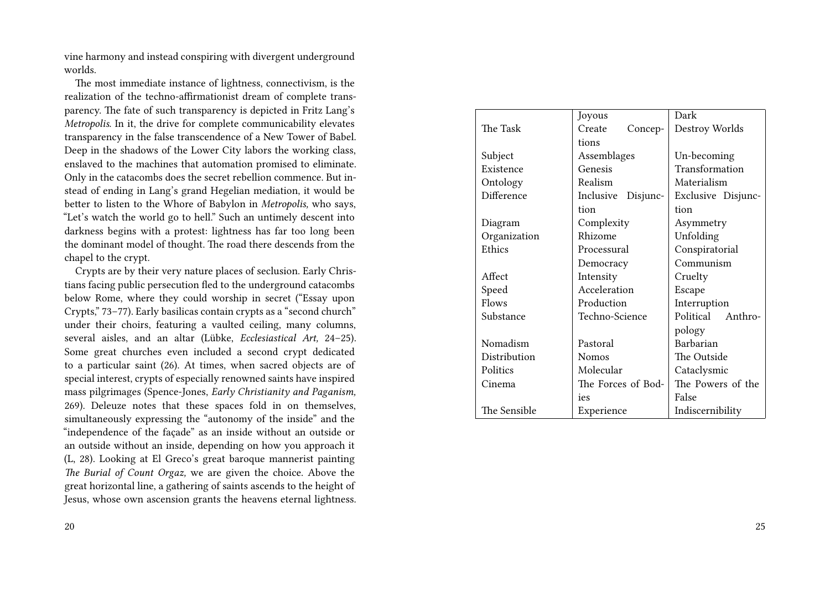vine harmony and instead conspiring with divergent underground worlds.

The most immediate instance of lightness, connectivism, is the realization of the techno-affirmationist dream of complete transparency. The fate of such transparency is depicted in Fritz Lang's *Metropolis*. In it, the drive for complete communicability elevates transparency in the false transcendence of a New Tower of Babel. Deep in the shadows of the Lower City labors the working class, enslaved to the machines that automation promised to eliminate. Only in the catacombs does the secret rebellion commence. But instead of ending in Lang's grand Hegelian mediation, it would be better to listen to the Whore of Babylon in *Metropolis,* who says, "Let's watch the world go to hell." Such an untimely descent into darkness begins with a protest: lightness has far too long been the dominant model of thought. The road there descends from the chapel to the crypt.

Crypts are by their very nature places of seclusion. Early Christians facing public persecution fled to the underground catacombs below Rome, where they could worship in secret ("Essay upon Crypts," 73–77). Early basilicas contain crypts as a "second church" under their choirs, featuring a vaulted ceiling, many columns, several aisles, and an altar (Lübke, *Ecclesiastical Art,* 24–25). Some great churches even included a second crypt dedicated to a particular saint (26). At times, when sacred objects are of special interest, crypts of especially renowned saints have inspired mass pilgrimages (Spence-Jones, *Early Christianity and Paganism,* 269). Deleuze notes that these spaces fold in on themselves, simultaneously expressing the "autonomy of the inside" and the "independence of the façade" as an inside without an outside or an outside without an inside, depending on how you approach it (L, 28). Looking at El Greco's great baroque mannerist painting *The Burial of Count Orgaz,* we are given the choice. Above the great horizontal line, a gathering of saints ascends to the height of Jesus, whose own ascension grants the heavens eternal lightness.

|              | Joyous                | Dark                 |
|--------------|-----------------------|----------------------|
| The Task     | Create<br>Concep-     | Destroy Worlds       |
|              | tions                 |                      |
| Subject      | Assemblages           | Un-becoming          |
| Existence    | Genesis               | Transformation       |
| Ontology     | Realism               | Materialism          |
| Difference   | Inclusive<br>Disjunc- | Exclusive Disjunc-   |
|              | tion                  | tion                 |
| Diagram      | Complexity            | Asymmetry            |
| Organization | Rhizome               | Unfolding            |
| Ethics       | Processural           | Conspiratorial       |
|              | Democracy             | Communism            |
| Affect       | Intensity             | Cruelty              |
| Speed        | Acceleration          | Escape               |
| Flows        | Production            | Interruption         |
| Substance    | Techno-Science        | Political<br>Anthro- |
|              |                       | pology               |
| Nomadism     | Pastoral              | Barbarian            |
| Distribution | <b>Nomos</b>          | The Outside          |
| Politics     | Molecular             | Cataclysmic          |
| Cinema       | The Forces of Bod-    | The Powers of the    |
|              | ies                   | False                |
| The Sensible | Experience            | Indiscernibility     |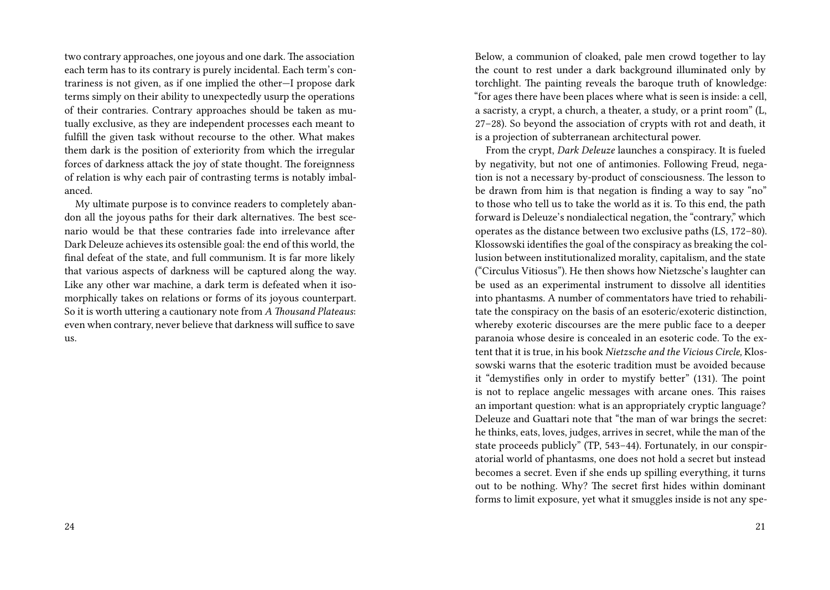two contrary approaches, one joyous and one dark. The association each term has to its contrary is purely incidental. Each term's contrariness is not given, as if one implied the other—I propose dark terms simply on their ability to unexpectedly usurp the operations of their contraries. Contrary approaches should be taken as mutually exclusive, as they are independent processes each meant to fulfill the given task without recourse to the other. What makes them dark is the position of exteriority from which the irregular forces of darkness attack the joy of state thought. The foreignness of relation is why each pair of contrasting terms is notably imbalanced.

My ultimate purpose is to convince readers to completely abandon all the joyous paths for their dark alternatives. The best scenario would be that these contraries fade into irrelevance after Dark Deleuze achieves its ostensible goal: the end of this world, the final defeat of the state, and full communism. It is far more likely that various aspects of darkness will be captured along the way. Like any other war machine, a dark term is defeated when it isomorphically takes on relations or forms of its joyous counterpart. So it is worth uttering a cautionary note from *A Thousand Plateaus*: even when contrary, never believe that darkness will suffice to save us.

Below, a communion of cloaked, pale men crowd together to lay the count to rest under a dark background illuminated only by torchlight. The painting reveals the baroque truth of knowledge: "for ages there have been places where what is seen is inside: a cell, a sacristy, a crypt, a church, a theater, a study, or a print room" (L, 27–28). So beyond the association of crypts with rot and death, it is a projection of subterranean architectural power.

From the crypt, *Dark Deleuze* launches a conspiracy. It is fueled by negativity, but not one of antimonies. Following Freud, negation is not a necessary by-product of consciousness. The lesson to be drawn from him is that negation is finding a way to say "no" to those who tell us to take the world as it is. To this end, the path forward is Deleuze's nondialectical negation, the "contrary," which operates as the distance between two exclusive paths (LS, 172–80). Klossowski identifies the goal of the conspiracy as breaking the collusion between institutionalized morality, capitalism, and the state ("Circulus Vitiosus"). He then shows how Nietzsche's laughter can be used as an experimental instrument to dissolve all identities into phantasms. A number of commentators have tried to rehabilitate the conspiracy on the basis of an esoteric/exoteric distinction, whereby exoteric discourses are the mere public face to a deeper paranoia whose desire is concealed in an esoteric code. To the extent that it is true, in his book *Nietzsche and the Vicious Circle,* Klossowski warns that the esoteric tradition must be avoided because it "demystifies only in order to mystify better" (131). The point is not to replace angelic messages with arcane ones. This raises an important question: what is an appropriately cryptic language? Deleuze and Guattari note that "the man of war brings the secret: he thinks, eats, loves, judges, arrives in secret, while the man of the state proceeds publicly" (TP, 543–44). Fortunately, in our conspiratorial world of phantasms, one does not hold a secret but instead becomes a secret. Even if she ends up spilling everything, it turns out to be nothing. Why? The secret first hides within dominant forms to limit exposure, yet what it smuggles inside is not any spe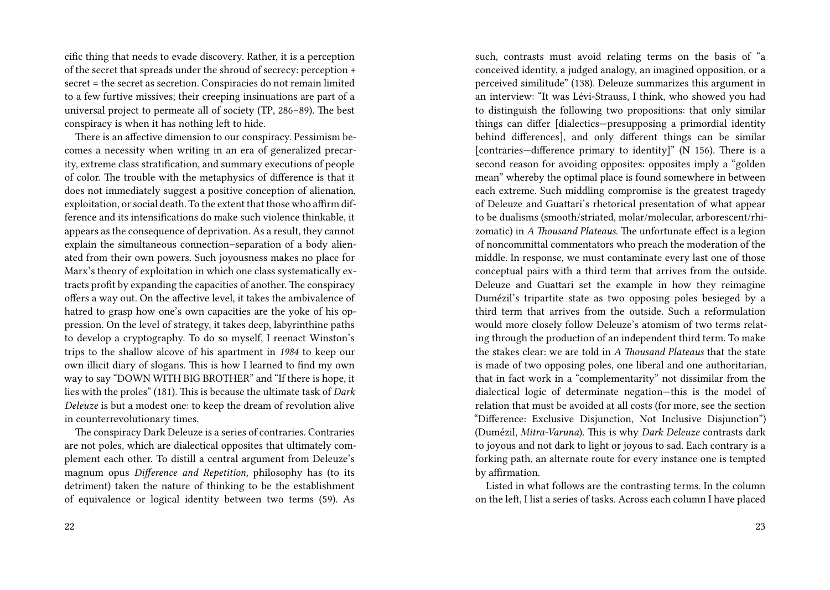cific thing that needs to evade discovery. Rather, it is a perception of the secret that spreads under the shroud of secrecy: perception + secret = the secret as secretion. Conspiracies do not remain limited to a few furtive missives; their creeping insinuations are part of a universal project to permeate all of society (TP, 286–89). The best conspiracy is when it has nothing left to hide.

There is an affective dimension to our conspiracy. Pessimism becomes a necessity when writing in an era of generalized precarity, extreme class stratification, and summary executions of people of color. The trouble with the metaphysics of difference is that it does not immediately suggest a positive conception of alienation, exploitation, or social death. To the extent that those who affirm difference and its intensifications do make such violence thinkable, it appears as the consequence of deprivation. As a result, they cannot explain the simultaneous connection–separation of a body alienated from their own powers. Such joyousness makes no place for Marx's theory of exploitation in which one class systematically extracts profit by expanding the capacities of another. The conspiracy offers a way out. On the affective level, it takes the ambivalence of hatred to grasp how one's own capacities are the yoke of his oppression. On the level of strategy, it takes deep, labyrinthine paths to develop a cryptography. To do so myself, I reenact Winston's trips to the shallow alcove of his apartment in *1984* to keep our own illicit diary of slogans. This is how I learned to find my own way to say "DOWN WITH BIG BROTHER" and "If there is hope, it lies with the proles" (181). This is because the ultimate task of *Dark Deleuze* is but a modest one: to keep the dream of revolution alive in counterrevolutionary times.

The conspiracy Dark Deleuze is a series of contraries. Contraries are not poles, which are dialectical opposites that ultimately complement each other. To distill a central argument from Deleuze's magnum opus *Difference and Repetition,* philosophy has (to its detriment) taken the nature of thinking to be the establishment of equivalence or logical identity between two terms (59). As

22

such, contrasts must avoid relating terms on the basis of "a conceived identity, a judged analogy, an imagined opposition, or a perceived similitude" (138). Deleuze summarizes this argument in an interview: "It was Lévi-Strauss, I think, who showed you had to distinguish the following two propositions: that only similar things can differ [dialectics—presupposing a primordial identity behind differences], and only different things can be similar [contraries—difference primary to identity]" (N 156). There is a second reason for avoiding opposites: opposites imply a "golden mean" whereby the optimal place is found somewhere in between each extreme. Such middling compromise is the greatest tragedy of Deleuze and Guattari's rhetorical presentation of what appear to be dualisms (smooth/striated, molar/molecular, arborescent/rhizomatic) in *A Thousand Plateaus*. The unfortunate effect is a legion of noncommittal commentators who preach the moderation of the middle. In response, we must contaminate every last one of those conceptual pairs with a third term that arrives from the outside. Deleuze and Guattari set the example in how they reimagine Dumézil's tripartite state as two opposing poles besieged by a third term that arrives from the outside. Such a reformulation would more closely follow Deleuze's atomism of two terms relating through the production of an independent third term. To make the stakes clear: we are told in *A Thousand Plateaus* that the state is made of two opposing poles, one liberal and one authoritarian, that in fact work in a "complementarity" not dissimilar from the dialectical logic of determinate negation—this is the model of relation that must be avoided at all costs (for more, see the section "Difference: Exclusive Disjunction, Not Inclusive Disjunction") (Dumézil, *Mitra-Varuna*). This is why *Dark Deleuze* contrasts dark to joyous and not dark to light or joyous to sad. Each contrary is a forking path, an alternate route for every instance one is tempted by affirmation.

Listed in what follows are the contrasting terms. In the column on the left, I list a series of tasks. Across each column I have placed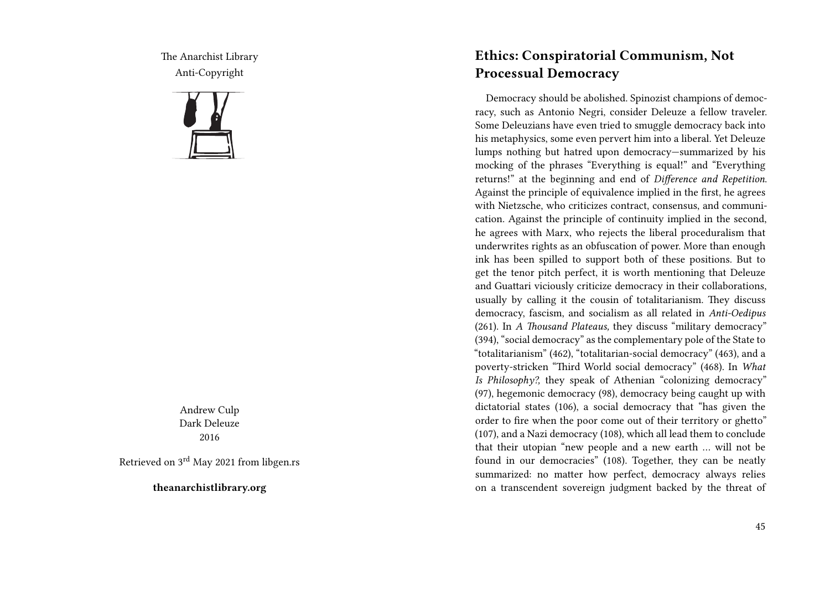The Anarchist Library Anti-Copyright



Andrew Culp Dark Deleuze 2016

Retrieved on 3rd May 2021 from libgen.rs

**theanarchistlibrary.org**

## **Ethics: Conspiratorial Communism, Not Processual Democracy**

Democracy should be abolished. Spinozist champions of democracy, such as Antonio Negri, consider Deleuze a fellow traveler. Some Deleuzians have even tried to smuggle democracy back into his metaphysics, some even pervert him into a liberal. Yet Deleuze lumps nothing but hatred upon democracy—summarized by his mocking of the phrases "Everything is equal!" and "Everything returns!" at the beginning and end of *Difference and Repetition*. Against the principle of equivalence implied in the first, he agrees with Nietzsche, who criticizes contract, consensus, and communication. Against the principle of continuity implied in the second, he agrees with Marx, who rejects the liberal proceduralism that underwrites rights as an obfuscation of power. More than enough ink has been spilled to support both of these positions. But to get the tenor pitch perfect, it is worth mentioning that Deleuze and Guattari viciously criticize democracy in their collaborations, usually by calling it the cousin of totalitarianism. They discuss democracy, fascism, and socialism as all related in *Anti-Oedipus* (261). In *A Thousand Plateaus,* they discuss "military democracy" (394), "social democracy" as the complementary pole of the State to "totalitarianism" (462), "totalitarian-social democracy" (463), and a poverty-stricken "Third World social democracy" (468). In *What Is Philosophy?,* they speak of Athenian "colonizing democracy" (97), hegemonic democracy (98), democracy being caught up with dictatorial states (106), a social democracy that "has given the order to fire when the poor come out of their territory or ghetto" (107), and a Nazi democracy (108), which all lead them to conclude that their utopian "new people and a new earth … will not be found in our democracies" (108). Together, they can be neatly summarized: no matter how perfect, democracy always relies on a transcendent sovereign judgment backed by the threat of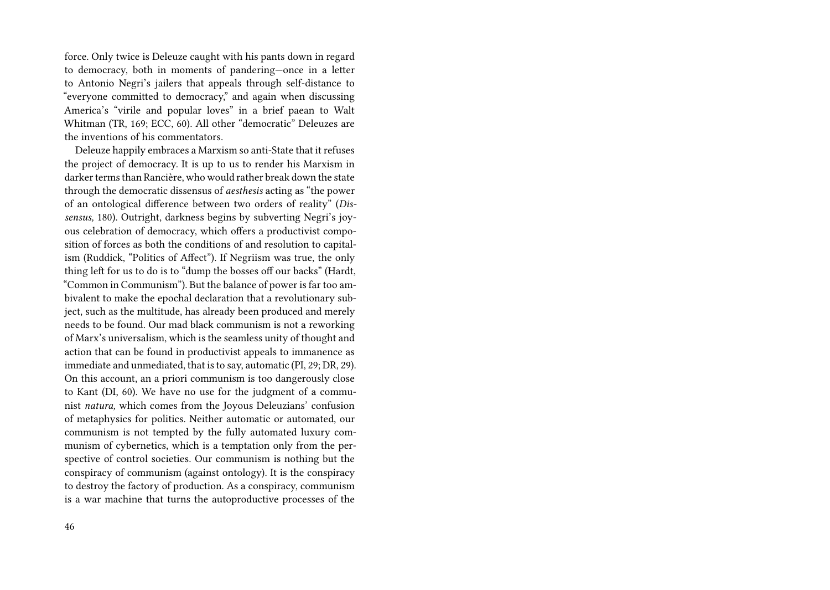force. Only twice is Deleuze caught with his pants down in regard to democracy, both in moments of pandering—once in a letter to Antonio Negri's jailers that appeals through self-distance to "everyone committed to democracy," and again when discussing America's "virile and popular loves" in a brief paean to Walt Whitman (TR, 169; ECC, 60). All other "democratic" Deleuzes are the inventions of his commentators.

Deleuze happily embraces a Marxism so anti-State that it refuses the project of democracy. It is up to us to render his Marxism in darker terms than Rancière, who would rather break down the state through the democratic dissensus of *aesthesis* acting as "the power of an ontological difference between two orders of reality" (*Dissensus,* 180). Outright, darkness begins by subverting Negri's joyous celebration of democracy, which offers a productivist composition of forces as both the conditions of and resolution to capitalism (Ruddick, "Politics of Affect"). If Negriism was true, the only thing left for us to do is to "dump the bosses off our backs" (Hardt, "Common in Communism"). But the balance of power is far too ambivalent to make the epochal declaration that a revolutionary subject, such as the multitude, has already been produced and merely needs to be found. Our mad black communism is not a reworking of Marx's universalism, which is the seamless unity of thought and action that can be found in productivist appeals to immanence as immediate and unmediated, that is to say, automatic (PI, 29; DR, 29). On this account, an a priori communism is too dangerously close to Kant (DI, 60). We have no use for the judgment of a communist *natura,* which comes from the Joyous Deleuzians' confusion of metaphysics for politics. Neither automatic or automated, our communism is not tempted by the fully automated luxury communism of cybernetics, which is a temptation only from the perspective of control societies. Our communism is nothing but the conspiracy of communism (against ontology). It is the conspiracy to destroy the factory of production. As a conspiracy, communism is a war machine that turns the autoproductive processes of the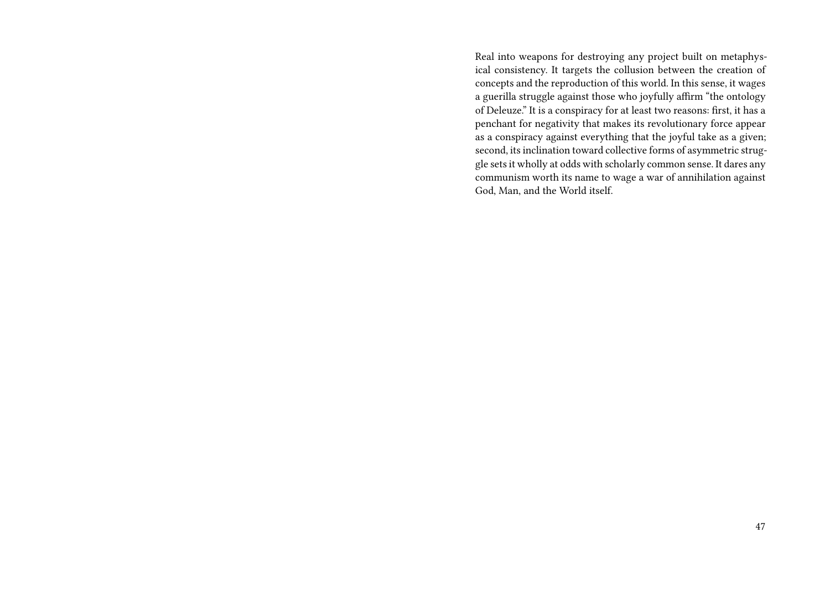Real into weapons for destroying any project built on metaphysical consistency. It targets the collusion between the creation of concepts and the reproduction of this world. In this sense, it wages a guerilla struggle against those who joyfully affirm "the ontology of Deleuze." It is a conspiracy for at least two reasons: first, it has a penchant for negativity that makes its revolutionary force appear as a conspiracy against everything that the joyful take as a given; second, its inclination toward collective forms of asymmetric struggle sets it wholly at odds with scholarly common sense. It dares any communism worth its name to wage a war of annihilation against God, Man, and the World itself.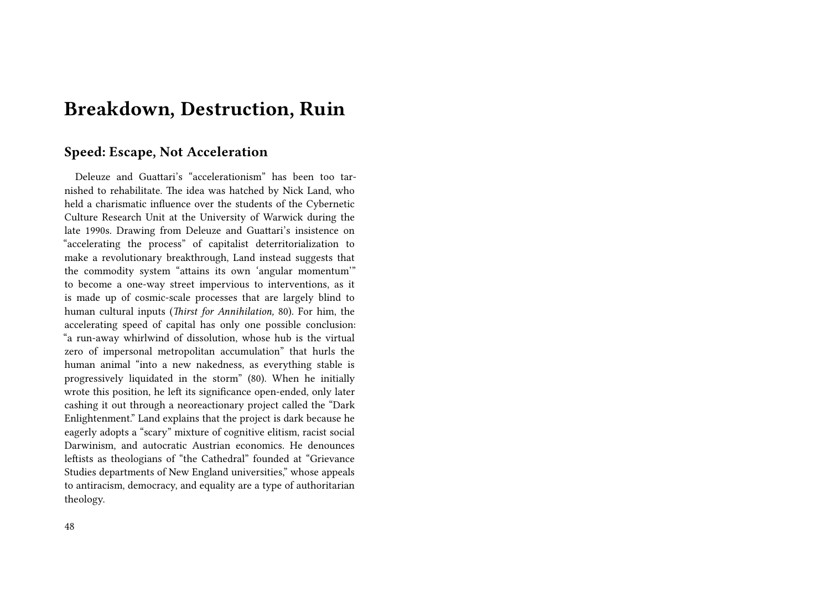## **Breakdown, Destruction, Ruin**

## **Speed: Escape, Not Acceleration**

Deleuze and Guattari's "accelerationism" has been too tarnished to rehabilitate. The idea was hatched by Nick Land, who held a charismatic influence over the students of the Cybernetic Culture Research Unit at the University of Warwick during the late 1990s. Drawing from Deleuze and Guattari's insistence on "accelerating the process" of capitalist deterritorialization to make a revolutionary breakthrough, Land instead suggests that the commodity system "attains its own 'angular momentum'" to become a one-way street impervious to interventions, as it is made up of cosmic-scale processes that are largely blind to human cultural inputs (*Thirst for Annihilation,* 80). For him, the accelerating speed of capital has only one possible conclusion: "a run-away whirlwind of dissolution, whose hub is the virtual zero of impersonal metropolitan accumulation" that hurls the human animal "into a new nakedness, as everything stable is progressively liquidated in the storm" (80). When he initially wrote this position, he left its significance open-ended, only later cashing it out through a neoreactionary project called the "Dark Enlightenment." Land explains that the project is dark because he eagerly adopts a "scary" mixture of cognitive elitism, racist social Darwinism, and autocratic Austrian economics. He denounces leftists as theologians of "the Cathedral" founded at "Grievance Studies departments of New England universities," whose appeals to antiracism, democracy, and equality are a type of authoritarian theology.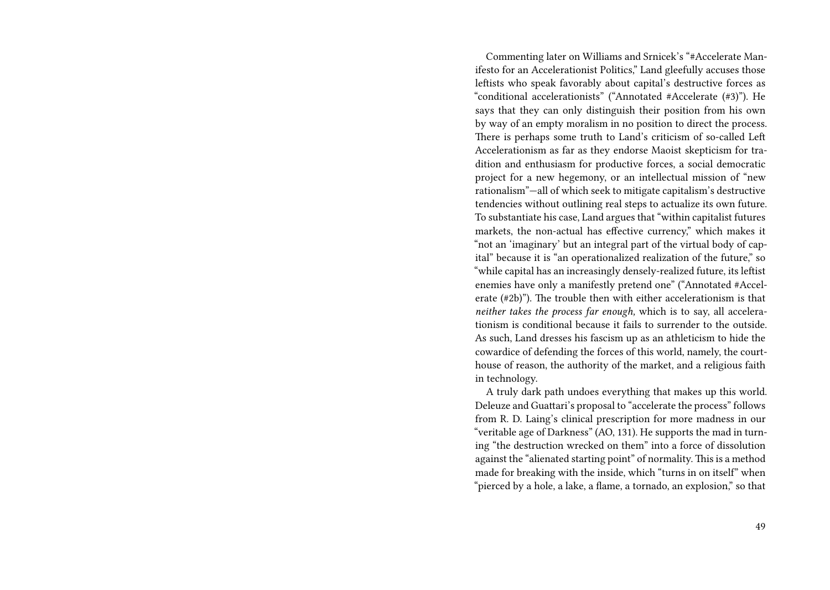Commenting later on Williams and Srnicek's "#Accelerate Manifesto for an Accelerationist Politics," Land gleefully accuses those leftists who speak favorably about capital's destructive forces as "conditional accelerationists" ("Annotated #Accelerate (#3)"). He says that they can only distinguish their position from his own by way of an empty moralism in no position to direct the process. There is perhaps some truth to Land's criticism of so-called Left Accelerationism as far as they endorse Maoist skepticism for tradition and enthusiasm for productive forces, a social democratic project for a new hegemony, or an intellectual mission of "new rationalism"—all of which seek to mitigate capitalism's destructive tendencies without outlining real steps to actualize its own future. To substantiate his case, Land argues that "within capitalist futures markets, the non-actual has effective currency," which makes it "not an 'imaginary' but an integral part of the virtual body of capital" because it is "an operationalized realization of the future," so "while capital has an increasingly densely-realized future, its leftist enemies have only a manifestly pretend one" ("Annotated #Accelerate (#2b)"). The trouble then with either accelerationism is that *neither takes the process far enough,* which is to say, all accelerationism is conditional because it fails to surrender to the outside. As such, Land dresses his fascism up as an athleticism to hide the cowardice of defending the forces of this world, namely, the courthouse of reason, the authority of the market, and a religious faith in technology.

A truly dark path undoes everything that makes up this world. Deleuze and Guattari's proposal to "accelerate the process" follows from R. D. Laing's clinical prescription for more madness in our "veritable age of Darkness" (AO, 131). He supports the mad in turning "the destruction wrecked on them" into a force of dissolution against the "alienated starting point" of normality. This is a method made for breaking with the inside, which "turns in on itself" when "pierced by a hole, a lake, a flame, a tornado, an explosion," so that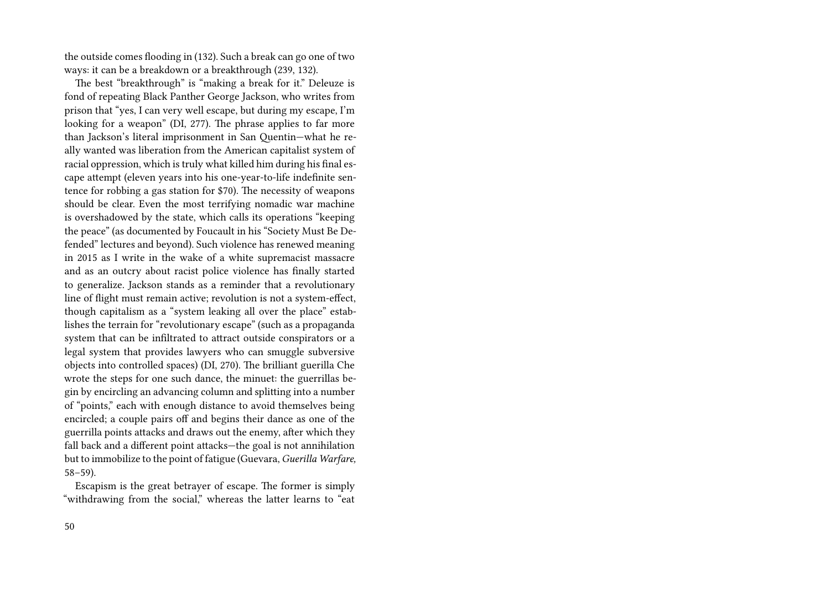the outside comes flooding in (132). Such a break can go one of two ways: it can be a breakdown or a breakthrough (239, 132).

The best "breakthrough" is "making a break for it." Deleuze is fond of repeating Black Panther George Jackson, who writes from prison that "yes, I can very well escape, but during my escape, I'm looking for a weapon" (DI, 277). The phrase applies to far more than Jackson's literal imprisonment in San Quentin—what he really wanted was liberation from the American capitalist system of racial oppression, which is truly what killed him during his final escape attempt (eleven years into his one-year-to-life indefinite sentence for robbing a gas station for \$70). The necessity of weapons should be clear. Even the most terrifying nomadic war machine is overshadowed by the state, which calls its operations "keeping the peace" (as documented by Foucault in his "Society Must Be Defended" lectures and beyond). Such violence has renewed meaning in 2015 as I write in the wake of a white supremacist massacre and as an outcry about racist police violence has finally started to generalize. Jackson stands as a reminder that a revolutionary line of flight must remain active; revolution is not a system-effect, though capitalism as a "system leaking all over the place" establishes the terrain for "revolutionary escape" (such as a propaganda system that can be infiltrated to attract outside conspirators or a legal system that provides lawyers who can smuggle subversive objects into controlled spaces) (DI, 270). The brilliant guerilla Che wrote the steps for one such dance, the minuet: the guerrillas begin by encircling an advancing column and splitting into a number of "points," each with enough distance to avoid themselves being encircled; a couple pairs off and begins their dance as one of the guerrilla points attacks and draws out the enemy, after which they fall back and a different point attacks—the goal is not annihilation but to immobilize to the point of fatigue (Guevara, *Guerilla Warfare,* 58–59).

Escapism is the great betrayer of escape. The former is simply "withdrawing from the social," whereas the latter learns to "eat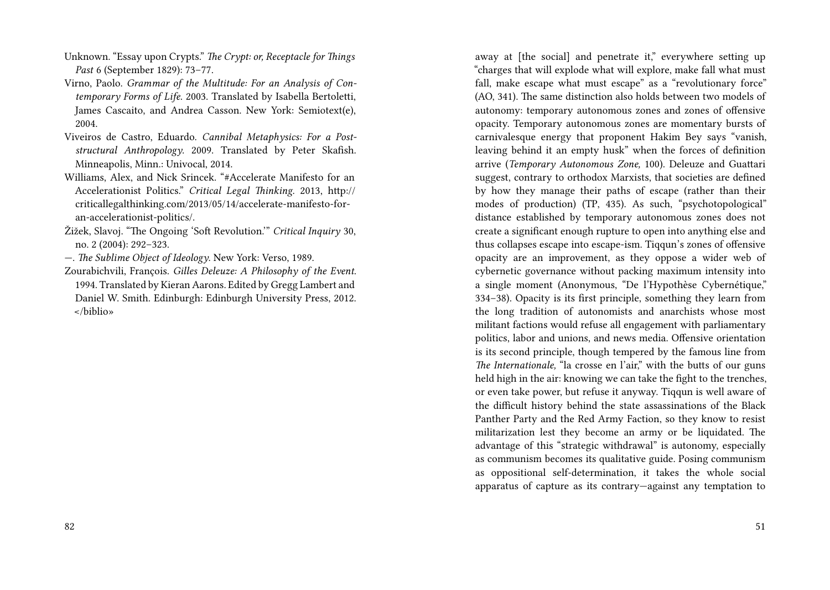- Unknown. "Essay upon Crypts." *The Crypt: or, Receptacle for Things Past* 6 (September 1829): 73–77.
- Virno, Paolo. *Grammar of the Multitude: For an Analysis of Contemporary Forms of Life*. 2003. Translated by Isabella Bertoletti, James Cascaito, and Andrea Casson. New York: Semiotext(e), 2004.
- Viveiros de Castro, Eduardo. *Cannibal Metaphysics: For a Poststructural Anthropology*. 2009. Translated by Peter Skafish. Minneapolis, Minn.: Univocal, 2014.
- Williams, Alex, and Nick Srincek. "#Accelerate Manifesto for an Accelerationist Politics." *Critical Legal Thinking*. 2013, http:// criticallegalthinking.com/2013/05/14/accelerate-manifesto-foran-accelerationist-politics/.
- Žižek, Slavoj. "The Ongoing 'Soft Revolution.'" *Critical Inquiry* 30, no. 2 (2004): 292–323.
- —. *The Sublime Object of Ideology*. New York: Verso, 1989.
- Zourabichvili, François. *Gilles Deleuze: A Philosophy of the Event*. 1994. Translated by Kieran Aarons. Edited by Gregg Lambert and Daniel W. Smith. Edinburgh: Edinburgh University Press, 2012. </biblio»

away at [the social] and penetrate it," everywhere setting up "charges that will explode what will explore, make fall what must fall, make escape what must escape" as a "revolutionary force" (AO, 341). The same distinction also holds between two models of autonomy: temporary autonomous zones and zones of offensive opacity. Temporary autonomous zones are momentary bursts of carnivalesque energy that proponent Hakim Bey says "vanish, leaving behind it an empty husk" when the forces of definition arrive (*Temporary Autonomous Zone,* 100). Deleuze and Guattari suggest, contrary to orthodox Marxists, that societies are defined by how they manage their paths of escape (rather than their modes of production) (TP, 435). As such, "psychotopological" distance established by temporary autonomous zones does not create a significant enough rupture to open into anything else and thus collapses escape into escape-ism. Tiqqun's zones of offensive opacity are an improvement, as they oppose a wider web of cybernetic governance without packing maximum intensity into a single moment (Anonymous, "De l'Hypothèse Cybernétique," 334–38). Opacity is its first principle, something they learn from the long tradition of autonomists and anarchists whose most militant factions would refuse all engagement with parliamentary politics, labor and unions, and news media. Offensive orientation is its second principle, though tempered by the famous line from *The Internationale,* "la crosse en l'air," with the butts of our guns held high in the air: knowing we can take the fight to the trenches, or even take power, but refuse it anyway. Tiqqun is well aware of the difficult history behind the state assassinations of the Black Panther Party and the Red Army Faction, so they know to resist militarization lest they become an army or be liquidated. The advantage of this "strategic withdrawal" is autonomy, especially as communism becomes its qualitative guide. Posing communism as oppositional self-determination, it takes the whole social apparatus of capture as its contrary—against any temptation to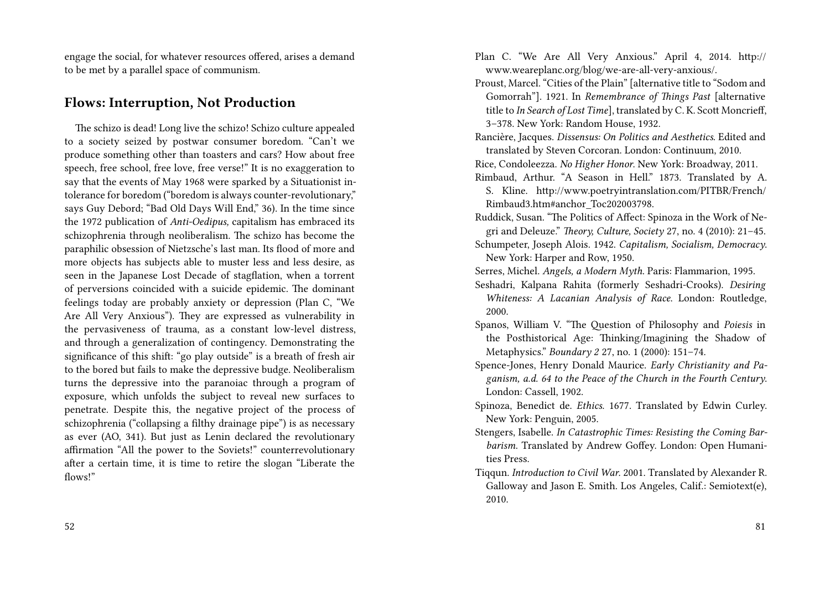engage the social, for whatever resources offered, arises a demand to be met by a parallel space of communism.

#### **Flows: Interruption, Not Production**

The schizo is dead! Long live the schizo! Schizo culture appealed to a society seized by postwar consumer boredom. "Can't we produce something other than toasters and cars? How about free speech, free school, free love, free verse!" It is no exaggeration to say that the events of May 1968 were sparked by a Situationist intolerance for boredom ("boredom is always counter-revolutionary," says Guy Debord; "Bad Old Days Will End," 36). In the time since the 1972 publication of *Anti-Oedipus,* capitalism has embraced its schizophrenia through neoliberalism. The schizo has become the paraphilic obsession of Nietzsche's last man. Its flood of more and more objects has subjects able to muster less and less desire, as seen in the Japanese Lost Decade of stagflation, when a torrent of perversions coincided with a suicide epidemic. The dominant feelings today are probably anxiety or depression (Plan C, "We Are All Very Anxious"). They are expressed as vulnerability in the pervasiveness of trauma, as a constant low-level distress, and through a generalization of contingency. Demonstrating the significance of this shift: "go play outside" is a breath of fresh air to the bored but fails to make the depressive budge. Neoliberalism turns the depressive into the paranoiac through a program of exposure, which unfolds the subject to reveal new surfaces to penetrate. Despite this, the negative project of the process of schizophrenia ("collapsing a filthy drainage pipe") is as necessary as ever (AO, 341). But just as Lenin declared the revolutionary affirmation "All the power to the Soviets!" counterrevolutionary after a certain time, it is time to retire the slogan "Liberate the flows!"

Plan C. "We Are All Very Anxious." April 4, 2014. http:// www.weareplanc.org/blog/we-are-all-very-anxious/.

Proust, Marcel. "Cities of the Plain" [alternative title to "Sodom and Gomorrah"]. 1921. In *Remembrance of Things Past* [alternative title to *In Search of Lost Time*], translated by C. K. Scott Moncrieff, 3–378. New York: Random House, 1932.

Rancière, Jacques. *Dissensus: On Politics and Aesthetics*. Edited and translated by Steven Corcoran. London: Continuum, 2010.

Rice, Condoleezza. *No Higher Honor*. New York: Broadway, 2011.

Rimbaud, Arthur. "A Season in Hell." 1873. Translated by A.

S. Kline. http://www.poetryintranslation.com/PITBR/French/ Rimbaud3.htm#anchor\_Toc202003798.

Ruddick, Susan. "The Politics of Affect: Spinoza in the Work of Negri and Deleuze." *Theory, Culture, Society* 27, no. 4 (2010): 21–45.

Schumpeter, Joseph Alois. 1942. *Capitalism, Socialism, Democracy*. New York: Harper and Row, 1950.

Serres, Michel. *Angels, a Modern Myth*. Paris: Flammarion, 1995.

Seshadri, Kalpana Rahita (formerly Seshadri-Crooks). *Desiring Whiteness: A Lacanian Analysis of Race*. London: Routledge, 2000.

- Spanos, William V. "The Question of Philosophy and *Poiesis* in the Posthistorical Age: Thinking/Imagining the Shadow of Metaphysics." *Boundary 2* 27, no. 1 (2000): 151–74.
- Spence-Jones, Henry Donald Maurice. *Early Christianity and Paganism, a.d. 64 to the Peace of the Church in the Fourth Century*. London: Cassell, 1902.
- Spinoza, Benedict de. *Ethics*. 1677. Translated by Edwin Curley. New York: Penguin, 2005.
- Stengers, Isabelle. *In Catastrophic Times: Resisting the Coming Barbarism*. Translated by Andrew Goffey. London: Open Humanities Press.
- Tiqqun. *Introduction to Civil War*. 2001. Translated by Alexander R. Galloway and Jason E. Smith. Los Angeles, Calif.: Semiotext(e), 2010.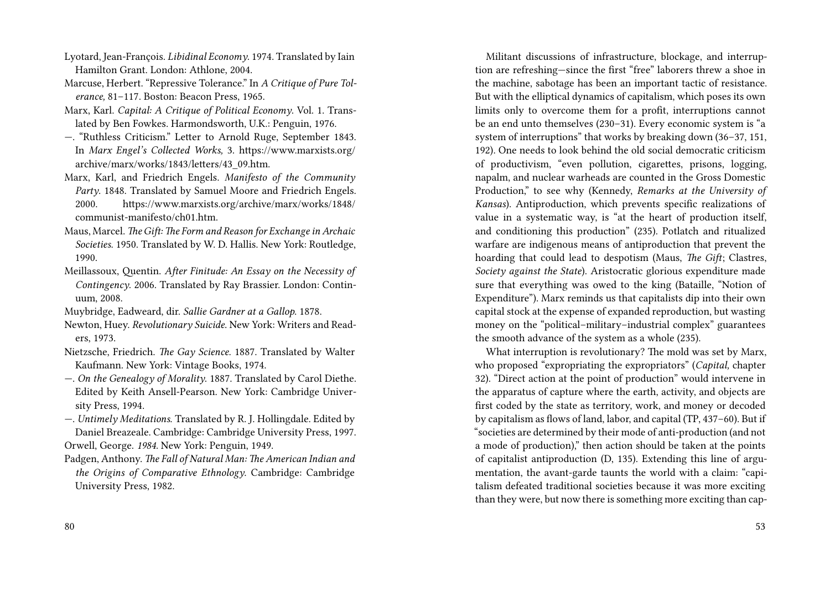- Lyotard, Jean-François. *Libidinal Economy*. 1974. Translated by Iain Hamilton Grant. London: Athlone, 2004.
- Marcuse, Herbert. "Repressive Tolerance." In *A Critique of Pure Tolerance,* 81–117. Boston: Beacon Press, 1965.
- Marx, Karl. *Capital: A Critique of Political Economy*. Vol. 1. Translated by Ben Fowkes. Harmondsworth, U.K.: Penguin, 1976.
- —. "Ruthless Criticism." Letter to Arnold Ruge, September 1843. In *Marx Engel's Collected Works,* 3. https://www.marxists.org/ archive/marx/works/1843/letters/43\_09.htm.
- Marx, Karl, and Friedrich Engels. *Manifesto of the Community Party*. 1848. Translated by Samuel Moore and Friedrich Engels. 2000. https://www.marxists.org/archive/marx/works/1848/ communist-manifesto/ch01.htm.
- Maus, Marcel. *The Gift: The Form and Reason for Exchange in Archaic Societies*. 1950. Translated by W. D. Hallis. New York: Routledge, 1990.
- Meillassoux, Quentin. *After Finitude: An Essay on the Necessity of Contingency*. 2006. Translated by Ray Brassier. London: Continuum, 2008.
- Muybridge, Eadweard, dir. *Sallie Gardner at a Gallop*. 1878.
- Newton, Huey. *Revolutionary Suicide*. New York: Writers and Readers, 1973.
- Nietzsche, Friedrich. *The Gay Science*. 1887. Translated by Walter Kaufmann. New York: Vintage Books, 1974.
- —. *On the Genealogy of Morality*. 1887. Translated by Carol Diethe. Edited by Keith Ansell-Pearson. New York: Cambridge University Press, 1994.
- —. *Untimely Meditations*. Translated by R. J. Hollingdale. Edited by Daniel Breazeale. Cambridge: Cambridge University Press, 1997. Orwell, George. *1984.* New York: Penguin, 1949.
- Padgen, Anthony. *The Fall of Natural Man: The American Indian and the Origins of Comparative Ethnology*. Cambridge: Cambridge University Press, 1982.

Militant discussions of infrastructure, blockage, and interruption are refreshing—since the first "free" laborers threw a shoe in the machine, sabotage has been an important tactic of resistance. But with the elliptical dynamics of capitalism, which poses its own limits only to overcome them for a profit, interruptions cannot be an end unto themselves (230–31). Every economic system is "a system of interruptions" that works by breaking down (36–37, 151, 192). One needs to look behind the old social democratic criticism of productivism, "even pollution, cigarettes, prisons, logging, napalm, and nuclear warheads are counted in the Gross Domestic Production," to see why (Kennedy, *Remarks at the University of Kansas*). Antiproduction, which prevents specific realizations of value in a systematic way, is "at the heart of production itself, and conditioning this production" (235). Potlatch and ritualized warfare are indigenous means of antiproduction that prevent the hoarding that could lead to despotism (Maus, *The Gift*; Clastres, *Society against the State*). Aristocratic glorious expenditure made sure that everything was owed to the king (Bataille, "Notion of Expenditure"). Marx reminds us that capitalists dip into their own capital stock at the expense of expanded reproduction, but wasting money on the "political–military–industrial complex" guarantees the smooth advance of the system as a whole (235).

What interruption is revolutionary? The mold was set by Marx, who proposed "expropriating the expropriators" (*Capital,* chapter 32). "Direct action at the point of production" would intervene in the apparatus of capture where the earth, activity, and objects are first coded by the state as territory, work, and money or decoded by capitalism as flows of land, labor, and capital (TP, 437–60). But if "societies are determined by their mode of anti-production (and not a mode of production)," then action should be taken at the points of capitalist antiproduction (D, 135). Extending this line of argumentation, the avant-garde taunts the world with a claim: "capitalism defeated traditional societies because it was more exciting than they were, but now there is something more exciting than cap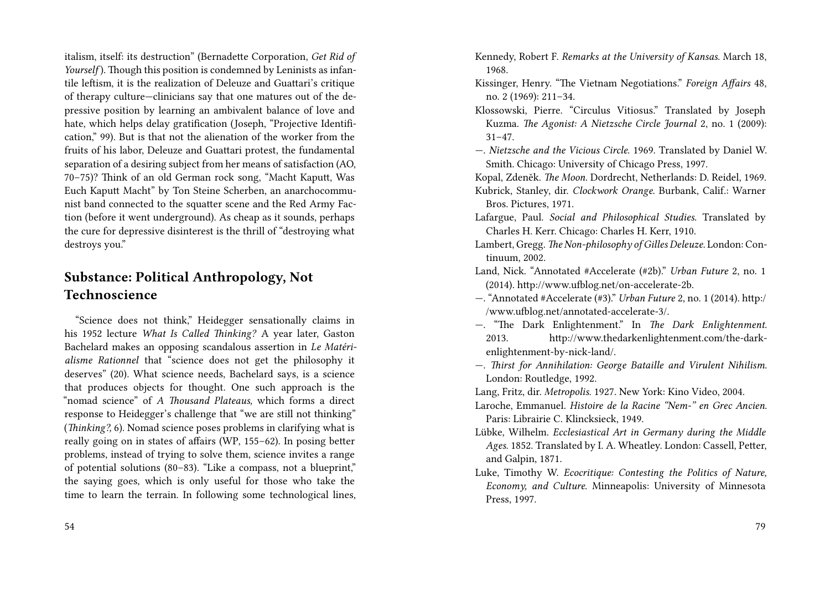italism, itself: its destruction" (Bernadette Corporation, *Get Rid of Yourself*). Though this position is condemned by Leninists as infantile leftism, it is the realization of Deleuze and Guattari's critique of therapy culture—clinicians say that one matures out of the depressive position by learning an ambivalent balance of love and hate, which helps delay gratification (Joseph, "Projective Identification," 99). But is that not the alienation of the worker from the fruits of his labor, Deleuze and Guattari protest, the fundamental separation of a desiring subject from her means of satisfaction (AO, 70–75)? Think of an old German rock song, "Macht Kaputt, Was Euch Kaputt Macht" by Ton Steine Scherben, an anarchocommunist band connected to the squatter scene and the Red Army Faction (before it went underground). As cheap as it sounds, perhaps the cure for depressive disinterest is the thrill of "destroying what destroys you."

## **Substance: Political Anthropology, Not Technoscience**

"Science does not think," Heidegger sensationally claims in his 1952 lecture *What Is Called Thinking?* A year later, Gaston Bachelard makes an opposing scandalous assertion in *Le Matérialisme Rationnel* that "science does not get the philosophy it deserves" (20). What science needs, Bachelard says, is a science that produces objects for thought. One such approach is the "nomad science" of *A Thousand Plateaus,* which forms a direct response to Heidegger's challenge that "we are still not thinking" (*Thinking?,* 6). Nomad science poses problems in clarifying what is really going on in states of affairs (WP, 155–62). In posing better problems, instead of trying to solve them, science invites a range of potential solutions (80–83). "Like a compass, not a blueprint," the saying goes, which is only useful for those who take the time to learn the terrain. In following some technological lines,

- Kennedy, Robert F. *Remarks at the University of Kansas*. March 18, 1968.
- Kissinger, Henry. "The Vietnam Negotiations." *Foreign Affairs* 48, no. 2 (1969): 211–34.
- Klossowski, Pierre. "Circulus Vitiosus." Translated by Joseph Kuzma. *The Agonist: A Nietzsche Circle Journal* 2, no. 1 (2009): 31–47.
- —. *Nietzsche and the Vicious Circle*. 1969. Translated by Daniel W. Smith. Chicago: University of Chicago Press, 1997.
- Kopal, Zdeněk. *The Moon*. Dordrecht, Netherlands: D. Reidel, 1969.
- Kubrick, Stanley, dir. *Clockwork Orange*. Burbank, Calif.: Warner Bros. Pictures, 1971.
- Lafargue, Paul. *Social and Philosophical Studies*. Translated by Charles H. Kerr. Chicago: Charles H. Kerr, 1910.
- Lambert, Gregg. *The Non-philosophy of Gilles Deleuze*. London: Continuum, 2002.
- Land, Nick. "Annotated #Accelerate (#2b)." *Urban Future* 2, no. 1 (2014). http://www.ufblog.net/on-accelerate-2b.
- —. "Annotated #Accelerate (#3)." *Urban Future* 2, no. 1 (2014). http:/ /www.ufblog.net/annotated-accelerate-3/.
- —. "The Dark Enlightenment." In *The Dark Enlightenment*. 2013. http://www.thedarkenlightenment.com/the-darkenlightenment-by-nick-land/.
- —. *Thirst for Annihilation: George Bataille and Virulent Nihilism*. London: Routledge, 1992.

Lang, Fritz, dir. *Metropolis*. 1927. New York: Kino Video, 2004.

- Laroche, Emmanuel. *Histoire de la Racine "Nem-" en Grec Ancien*. Paris: Librairie C. Klincksieck, 1949.
- Lübke, Wilhelm. *Ecclesiastical Art in Germany during the Middle Ages*. 1852. Translated by I. A. Wheatley. London: Cassell, Petter, and Galpin, 1871.
- Luke, Timothy W. *Ecocritique: Contesting the Politics of Nature, Economy, and Culture*. Minneapolis: University of Minnesota Press, 1997.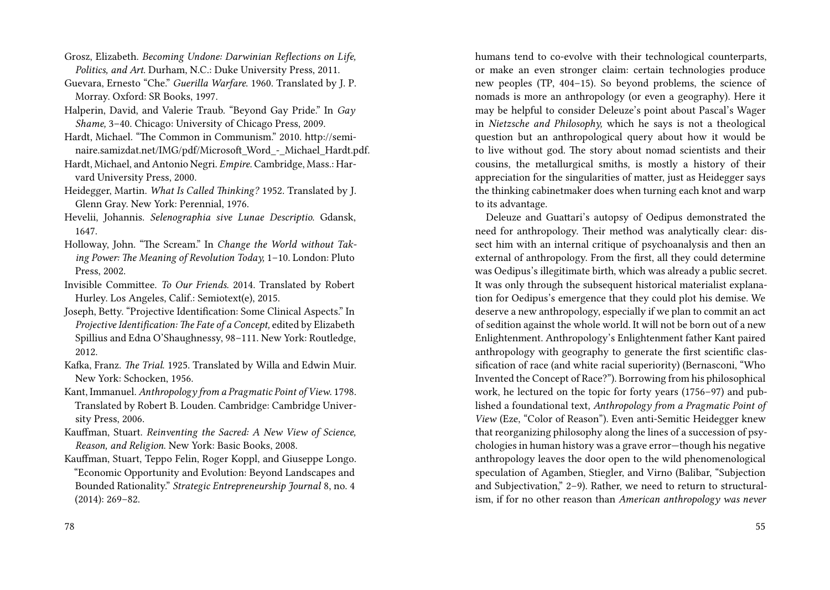- Grosz, Elizabeth. *Becoming Undone: Darwinian Reflections on Life, Politics, and Art*. Durham, N.C.: Duke University Press, 2011.
- Guevara, Ernesto "Che." *Guerilla Warfare*. 1960. Translated by J. P. Morray. Oxford: SR Books, 1997.
- Halperin, David, and Valerie Traub. "Beyond Gay Pride." In *Gay Shame,* 3–40. Chicago: University of Chicago Press, 2009.
- Hardt, Michael. "The Common in Communism." 2010. http://seminaire.samizdat.net/IMG/pdf/Microsoft Word - Michael Hardt.pdf.
- Hardt, Michael, and Antonio Negri. *Empire*. Cambridge, Mass.: Harvard University Press, 2000.
- Heidegger, Martin. *What Is Called Thinking?* 1952. Translated by J. Glenn Gray. New York: Perennial, 1976.
- Hevelii, Johannis. *Selenographia sive Lunae Descriptio*. Gdansk, 1647.
- Holloway, John. "The Scream." In *Change the World without Taking Power: The Meaning of Revolution Today,* 1–10. London: Pluto Press, 2002.
- Invisible Committee. *To Our Friends*. 2014. Translated by Robert Hurley. Los Angeles, Calif.: Semiotext(e), 2015.
- Joseph, Betty. "Projective Identification: Some Clinical Aspects." In *Projective Identification: The Fate of a Concept,* edited by Elizabeth Spillius and Edna O'Shaughnessy, 98–111. New York: Routledge, 2012.
- Kafka, Franz. *The Trial*. 1925. Translated by Willa and Edwin Muir. New York: Schocken, 1956.
- Kant, Immanuel. *Anthropology from a Pragmatic Point of View*. 1798. Translated by Robert B. Louden. Cambridge: Cambridge University Press, 2006.
- Kauffman, Stuart. *Reinventing the Sacred: A New View of Science, Reason, and Religion*. New York: Basic Books, 2008.
- Kauffman, Stuart, Teppo Felin, Roger Koppl, and Giuseppe Longo. "Economic Opportunity and Evolution: Beyond Landscapes and Bounded Rationality." *Strategic Entrepreneurship Journal* 8, no. 4 (2014): 269–82.

humans tend to co-evolve with their technological counterparts, or make an even stronger claim: certain technologies produce new peoples (TP, 404–15). So beyond problems, the science of nomads is more an anthropology (or even a geography). Here it may be helpful to consider Deleuze's point about Pascal's Wager in *Nietzsche and Philosophy,* which he says is not a theological question but an anthropological query about how it would be to live without god. The story about nomad scientists and their cousins, the metallurgical smiths, is mostly a history of their appreciation for the singularities of matter, just as Heidegger says the thinking cabinetmaker does when turning each knot and warp to its advantage.

Deleuze and Guattari's autopsy of Oedipus demonstrated the need for anthropology. Their method was analytically clear: dissect him with an internal critique of psychoanalysis and then an external of anthropology. From the first, all they could determine was Oedipus's illegitimate birth, which was already a public secret. It was only through the subsequent historical materialist explanation for Oedipus's emergence that they could plot his demise. We deserve a new anthropology, especially if we plan to commit an act of sedition against the whole world. It will not be born out of a new Enlightenment. Anthropology's Enlightenment father Kant paired anthropology with geography to generate the first scientific classification of race (and white racial superiority) (Bernasconi, "Who Invented the Concept of Race?"). Borrowing from his philosophical work, he lectured on the topic for forty years (1756–97) and published a foundational text, *Anthropology from a Pragmatic Point of View* (Eze, "Color of Reason"). Even anti-Semitic Heidegger knew that reorganizing philosophy along the lines of a succession of psychologies in human history was a grave error—though his negative anthropology leaves the door open to the wild phenomenological speculation of Agamben, Stiegler, and Virno (Balibar, "Subjection and Subjectivation," 2–9). Rather, we need to return to structuralism, if for no other reason than *American anthropology was never*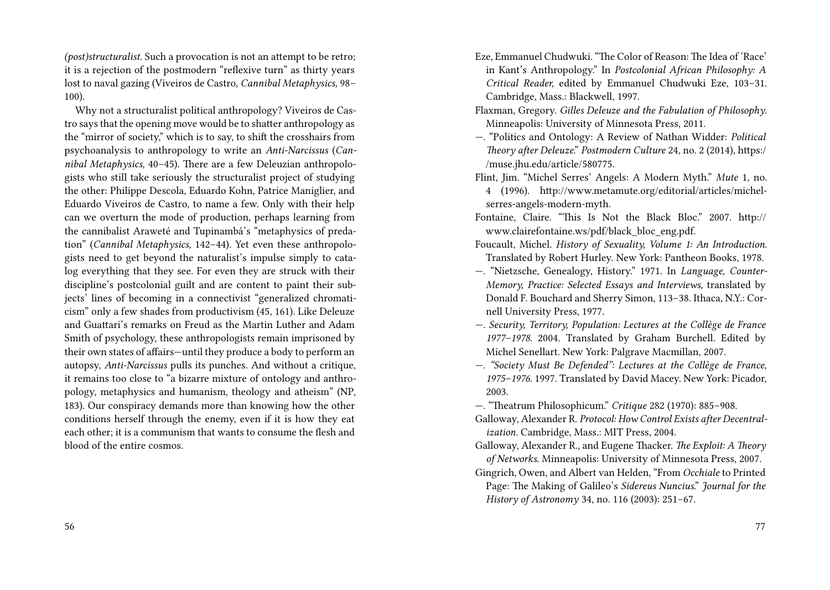*(post)structuralist.* Such a provocation is not an attempt to be retro; it is a rejection of the postmodern "reflexive turn" as thirty years lost to naval gazing (Viveiros de Castro, *Cannibal Metaphysics,* 98– 100).

Why not a structuralist political anthropology? Viveiros de Castro says that the opening move would be to shatter anthropology as the "mirror of society," which is to say, to shift the crosshairs from psychoanalysis to anthropology to write an *Anti-Narcissus* (*Cannibal Metaphysics,* 40–45). There are a few Deleuzian anthropologists who still take seriously the structuralist project of studying the other: Philippe Descola, Eduardo Kohn, Patrice Maniglier, and Eduardo Viveiros de Castro, to name a few. Only with their help can we overturn the mode of production, perhaps learning from the cannibalist Araweté and Tupinambá's "metaphysics of predation" (*Cannibal Metaphysics,* 142–44). Yet even these anthropologists need to get beyond the naturalist's impulse simply to catalog everything that they see. For even they are struck with their discipline's postcolonial guilt and are content to paint their subjects' lines of becoming in a connectivist "generalized chromaticism" only a few shades from productivism (45, 161). Like Deleuze and Guattari's remarks on Freud as the Martin Luther and Adam Smith of psychology, these anthropologists remain imprisoned by their own states of affairs—until they produce a body to perform an autopsy, *Anti-Narcissus* pulls its punches. And without a critique, it remains too close to "a bizarre mixture of ontology and anthropology, metaphysics and humanism, theology and atheism" (NP, 183). Our conspiracy demands more than knowing how the other conditions herself through the enemy, even if it is how they eat each other; it is a communism that wants to consume the flesh and blood of the entire cosmos.

- Eze, Emmanuel Chudwuki. "The Color of Reason: The Idea of 'Race' in Kant's Anthropology." In *Postcolonial African Philosophy: A Critical Reader,* edited by Emmanuel Chudwuki Eze, 103–31. Cambridge, Mass.: Blackwell, 1997.
- Flaxman, Gregory. *Gilles Deleuze and the Fabulation of Philosophy*. Minneapolis: University of Minnesota Press, 2011.
- —. "Politics and Ontology: A Review of Nathan Widder: *Political Theory after Deleuze*." *Postmodern Culture* 24, no. 2 (2014), https:/ /muse.jhu.edu/article/580775.
- Flint, Jim. "Michel Serres' Angels: A Modern Myth." *Mute* 1, no.
	- 4 (1996). http://www.metamute.org/editorial/articles/michelserres-angels-modern-myth.
- Fontaine, Claire. "This Is Not the Black Bloc." 2007. http:// www.clairefontaine.ws/pdf/black\_bloc\_eng.pdf.
- Foucault, Michel. *History of Sexuality, Volume 1: An Introduction*. Translated by Robert Hurley. New York: Pantheon Books, 1978.
- —. "Nietzsche, Genealogy, History." 1971. In *Language, Counter-Memory, Practice: Selected Essays and Interviews,* translated by Donald F. Bouchard and Sherry Simon, 113–38. Ithaca, N.Y.: Cornell University Press, 1977.
- —. *Security, Territory, Population: Lectures at the Collège de France 1977–1978*. 2004. Translated by Graham Burchell. Edited by Michel Senellart. New York: Palgrave Macmillan, 2007.
- —. *"Society Must Be Defended": Lectures at the Collège de France, 1975–1976*. 1997. Translated by David Macey. New York: Picador, 2003.

—. "Theatrum Philosophicum." *Critique* 282 (1970): 885–908.

- Galloway, Alexander R. *Protocol: How Control Exists after Decentralization*. Cambridge, Mass.: MIT Press, 2004.
- Galloway, Alexander R., and Eugene Thacker. *The Exploit: A Theory of Networks*. Minneapolis: University of Minnesota Press, 2007.
- Gingrich, Owen, and Albert van Helden, "From *Occhiale* to Printed Page: The Making of Galileo's *Sidereus Nuncius*." *Journal for the History of Astronomy* 34, no. 116 (2003): 251–67.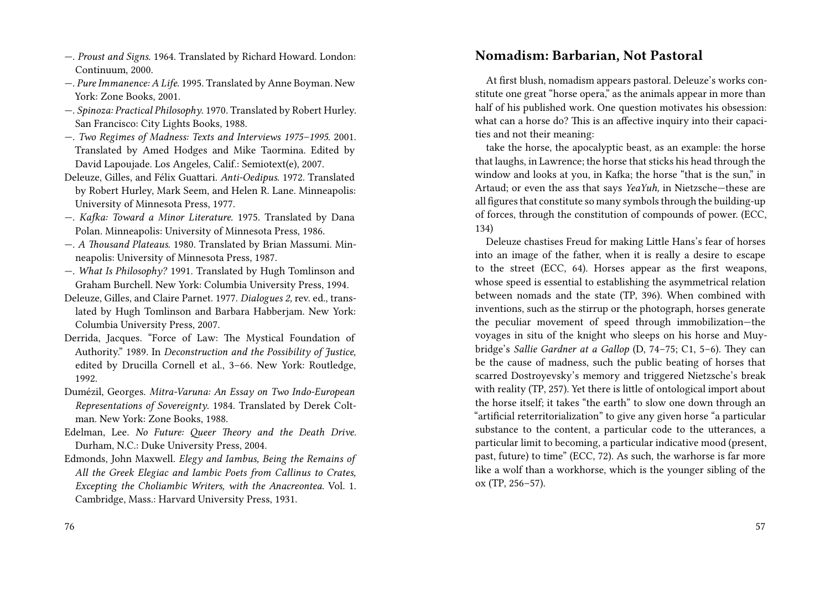- —. *Proust and Signs*. 1964. Translated by Richard Howard. London: Continuum, 2000.
- —. *Pure Immanence: A Life*. 1995. Translated by Anne Boyman. New York: Zone Books, 2001.
- —. *Spinoza: Practical Philosophy*. 1970. Translated by Robert Hurley. San Francisco: City Lights Books, 1988.
- —. *Two Regimes of Madness: Texts and Interviews 1975–1995*. 2001. Translated by Amed Hodges and Mike Taormina. Edited by David Lapoujade. Los Angeles, Calif.: Semiotext(e), 2007.
- Deleuze, Gilles, and Félix Guattari. *Anti-Oedipus*. 1972. Translated by Robert Hurley, Mark Seem, and Helen R. Lane. Minneapolis: University of Minnesota Press, 1977.
- —. *Kafka: Toward a Minor Literature*. 1975. Translated by Dana Polan. Minneapolis: University of Minnesota Press, 1986.
- —. *A Thousand Plateaus*. 1980. Translated by Brian Massumi. Minneapolis: University of Minnesota Press, 1987.
- —. *What Is Philosophy?* 1991. Translated by Hugh Tomlinson and Graham Burchell. New York: Columbia University Press, 1994.
- Deleuze, Gilles, and Claire Parnet. 1977. *Dialogues 2,* rev. ed., translated by Hugh Tomlinson and Barbara Habberjam. New York: Columbia University Press, 2007.
- Derrida, Jacques. "Force of Law: The Mystical Foundation of Authority." 1989. In *Deconstruction and the Possibility of Justice,* edited by Drucilla Cornell et al., 3–66. New York: Routledge, 1992.
- Dumézil, Georges. *Mitra-Varuna: An Essay on Two Indo-European Representations of Sovereignty*. 1984. Translated by Derek Coltman. New York: Zone Books, 1988.
- Edelman, Lee. *No Future: Queer Theory and the Death Drive*. Durham, N.C.: Duke University Press, 2004.
- Edmonds, John Maxwell. *Elegy and Iambus, Being the Remains of All the Greek Elegiac and Iambic Poets from Callinus to Crates, Excepting the Choliambic Writers, with the Anacreontea*. Vol. 1. Cambridge, Mass.: Harvard University Press, 1931.

## **Nomadism: Barbarian, Not Pastoral**

At first blush, nomadism appears pastoral. Deleuze's works constitute one great "horse opera," as the animals appear in more than half of his published work. One question motivates his obsession: what can a horse do? This is an affective inquiry into their capacities and not their meaning:

take the horse, the apocalyptic beast, as an example: the horse that laughs, in Lawrence; the horse that sticks his head through the window and looks at you, in Kafka; the horse "that is the sun," in Artaud; or even the ass that says *YeaYuh,* in Nietzsche—these are all figures that constitute so many symbols through the building-up of forces, through the constitution of compounds of power. (ECC, 134)

Deleuze chastises Freud for making Little Hans's fear of horses into an image of the father, when it is really a desire to escape to the street (ECC, 64). Horses appear as the first weapons, whose speed is essential to establishing the asymmetrical relation between nomads and the state (TP, 396). When combined with inventions, such as the stirrup or the photograph, horses generate the peculiar movement of speed through immobilization—the voyages in situ of the knight who sleeps on his horse and Muybridge's *Sallie Gardner at a Gallop* (D, 74–75; C1, 5–6). They can be the cause of madness, such the public beating of horses that scarred Dostroyevsky's memory and triggered Nietzsche's break with reality (TP, 257). Yet there is little of ontological import about the horse itself; it takes "the earth" to slow one down through an "artificial reterritorialization" to give any given horse "a particular substance to the content, a particular code to the utterances, a particular limit to becoming, a particular indicative mood (present, past, future) to time" (ECC, 72). As such, the warhorse is far more like a wolf than a workhorse, which is the younger sibling of the ox (TP, 256–57).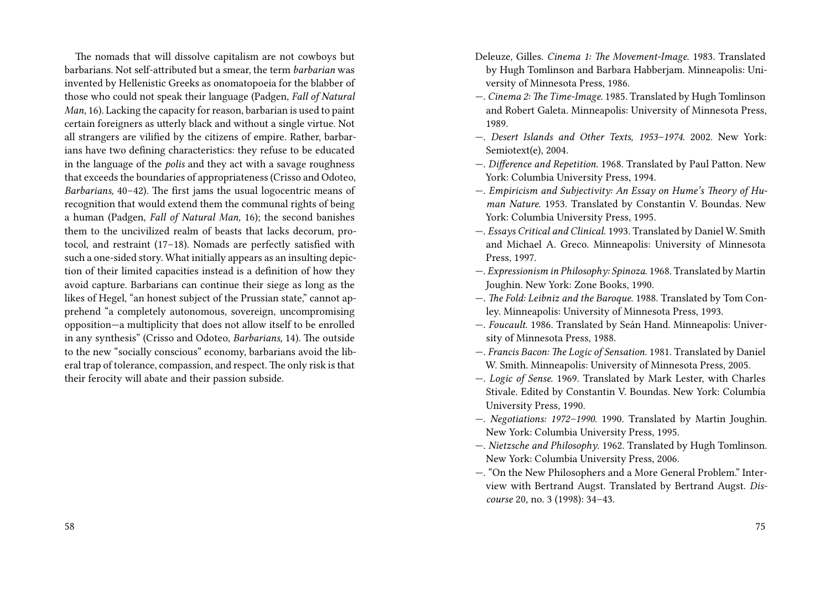The nomads that will dissolve capitalism are not cowboys but barbarians. Not self-attributed but a smear, the term *barbarian* was invented by Hellenistic Greeks as onomatopoeia for the blabber of those who could not speak their language (Padgen, *Fall of Natural Man,* 16). Lacking the capacity for reason, barbarian is used to paint certain foreigners as utterly black and without a single virtue. Not all strangers are vilified by the citizens of empire. Rather, barbarians have two defining characteristics: they refuse to be educated in the language of the *polis* and they act with a savage roughness that exceeds the boundaries of appropriateness (Crisso and Odoteo, *Barbarians,* 40–42). The first jams the usual logocentric means of recognition that would extend them the communal rights of being a human (Padgen, *Fall of Natural Man,* 16); the second banishes them to the uncivilized realm of beasts that lacks decorum, protocol, and restraint (17–18). Nomads are perfectly satisfied with such a one-sided story. What initially appears as an insulting depiction of their limited capacities instead is a definition of how they avoid capture. Barbarians can continue their siege as long as the likes of Hegel, "an honest subject of the Prussian state," cannot apprehend "a completely autonomous, sovereign, uncompromising opposition—a multiplicity that does not allow itself to be enrolled in any synthesis" (Crisso and Odoteo, *Barbarians,* 14). The outside to the new "socially conscious" economy, barbarians avoid the liberal trap of tolerance, compassion, and respect. The only risk is that their ferocity will abate and their passion subside.

- Deleuze, Gilles. *Cinema 1: The Movement-Image*. 1983. Translated by Hugh Tomlinson and Barbara Habberjam. Minneapolis: University of Minnesota Press, 1986.
- —. *Cinema 2: The Time-Image*. 1985. Translated by Hugh Tomlinson and Robert Galeta. Minneapolis: University of Minnesota Press, 1989.
- —. *Desert Islands and Other Texts, 1953–1974*. 2002. New York: Semiotext(e), 2004.
- —. *Difference and Repetition*. 1968. Translated by Paul Patton. New York: Columbia University Press, 1994.
- —. *Empiricism and Subjectivity: An Essay on Hume's Theory of Human Nature*. 1953. Translated by Constantin V. Boundas. New York: Columbia University Press, 1995.
- —. *Essays Critical and Clinical*. 1993. Translated by Daniel W. Smith and Michael A. Greco. Minneapolis: University of Minnesota Press, 1997.
- —. *Expressionism in Philosophy: Spinoza*. 1968. Translated by Martin Joughin. New York: Zone Books, 1990.
- —. *The Fold: Leibniz and the Baroque*. 1988. Translated by Tom Conley. Minneapolis: University of Minnesota Press, 1993.
- —. *Foucault*. 1986. Translated by Seán Hand. Minneapolis: University of Minnesota Press, 1988.
- —. *Francis Bacon: The Logic of Sensation*. 1981. Translated by Daniel W. Smith. Minneapolis: University of Minnesota Press, 2005.
- —. *Logic of Sense*. 1969. Translated by Mark Lester, with Charles Stivale. Edited by Constantin V. Boundas. New York: Columbia University Press, 1990.
- —. *Negotiations: 1972–1990*. 1990. Translated by Martin Joughin. New York: Columbia University Press, 1995.
- —. *Nietzsche and Philosophy*. 1962. Translated by Hugh Tomlinson. New York: Columbia University Press, 2006.
- —. "On the New Philosophers and a More General Problem." Interview with Bertrand Augst. Translated by Bertrand Augst. *Discourse* 20, no. 3 (1998): 34–43.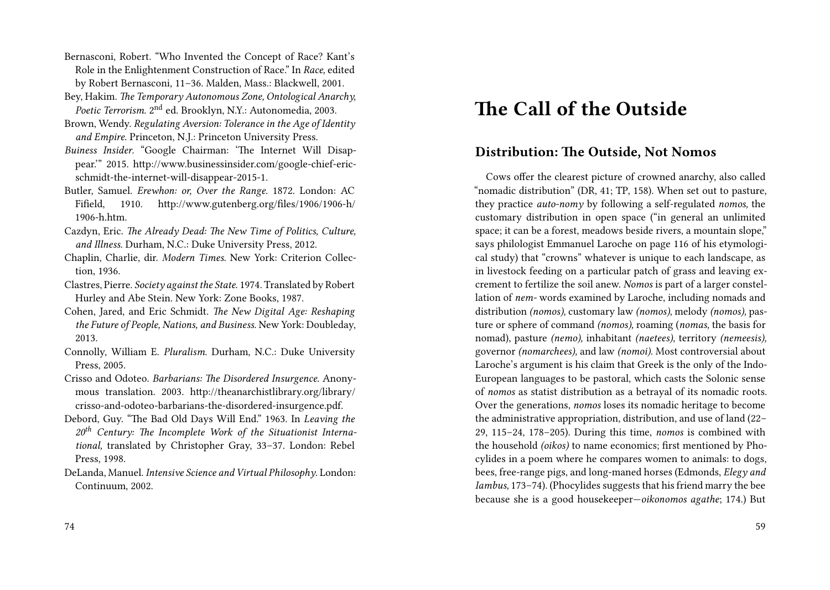- Bernasconi, Robert. "Who Invented the Concept of Race? Kant's Role in the Enlightenment Construction of Race." In *Race,* edited by Robert Bernasconi, 11–36. Malden, Mass.: Blackwell, 2001.
- Bey, Hakim. *The Temporary Autonomous Zone, Ontological Anarchy, Poetic Terrorism*. 2nd ed. Brooklyn, N.Y.: Autonomedia, 2003.
- Brown, Wendy. *Regulating Aversion: Tolerance in the Age of Identity and Empire*. Princeton, N.J.: Princeton University Press.
- *Buiness Insider*. "Google Chairman: 'The Internet Will Disappear.'" 2015. http://www.businessinsider.com/google-chief-ericschmidt-the-internet-will-disappear-2015-1.
- Butler, Samuel. *Erewhon: or, Over the Range*. 1872. London: AC Fifield, 1910. http://www.gutenberg.org/files/1906/1906-h/ 1906-h.htm.
- Cazdyn, Eric. *The Already Dead: The New Time of Politics, Culture, and Illness*. Durham, N.C.: Duke University Press, 2012.
- Chaplin, Charlie, dir. *Modern Times*. New York: Criterion Collection, 1936.
- Clastres, Pierre. *Society against the State*. 1974. Translated by Robert Hurley and Abe Stein. New York: Zone Books, 1987.
- Cohen, Jared, and Eric Schmidt. *The New Digital Age: Reshaping the Future of People, Nations, and Business*. New York: Doubleday, 2013.
- Connolly, William E. *Pluralism*. Durham, N.C.: Duke University Press, 2005.
- Crisso and Odoteo. *Barbarians: The Disordered Insurgence*. Anonymous translation. 2003. http://theanarchistlibrary.org/library/ crisso-and-odoteo-barbarians-the-disordered-insurgence.pdf.
- Debord, Guy. "The Bad Old Days Will End." 1963. In *Leaving the 20th Century: The Incomplete Work of the Situationist International,* translated by Christopher Gray, 33–37. London: Rebel Press, 1998.
- DeLanda, Manuel. *Intensive Science and Virtual Philosophy*. London: Continuum, 2002.

#### 74

# **The Call of the Outside**

## **Distribution: The Outside, Not Nomos**

Cows offer the clearest picture of crowned anarchy, also called "nomadic distribution" (DR, 41; TP, 158). When set out to pasture, they practice *auto-nomy* by following a self-regulated *nomos,* the customary distribution in open space ("in general an unlimited space; it can be a forest, meadows beside rivers, a mountain slope," says philologist Emmanuel Laroche on page 116 of his etymological study) that "crowns" whatever is unique to each landscape, as in livestock feeding on a particular patch of grass and leaving excrement to fertilize the soil anew. *Nomos* is part of a larger constellation of *nem-* words examined by Laroche, including nomads and distribution *(nomos),* customary law *(nomos),* melody *(nomos),* pasture or sphere of command *(nomos),* roaming (*nomas,* the basis for nomad), pasture *(nemo),* inhabitant *(naetees),* territory *(nemeesis),* governor *(nomarchees),* and law *(nomoi).* Most controversial about Laroche's argument is his claim that Greek is the only of the Indo-European languages to be pastoral, which casts the Solonic sense of *nomos* as statist distribution as a betrayal of its nomadic roots. Over the generations, *nomos* loses its nomadic heritage to become the administrative appropriation, distribution, and use of land (22– 29, 115–24, 178–205). During this time, *nomos* is combined with the household *(oikos)* to name economics; first mentioned by Phocylides in a poem where he compares women to animals: to dogs, bees, free-range pigs, and long-maned horses (Edmonds, *Elegy and Iambus,* 173–74). (Phocylides suggests that his friend marry the bee because she is a good housekeeper—*oikonomos agathe*; 174.) But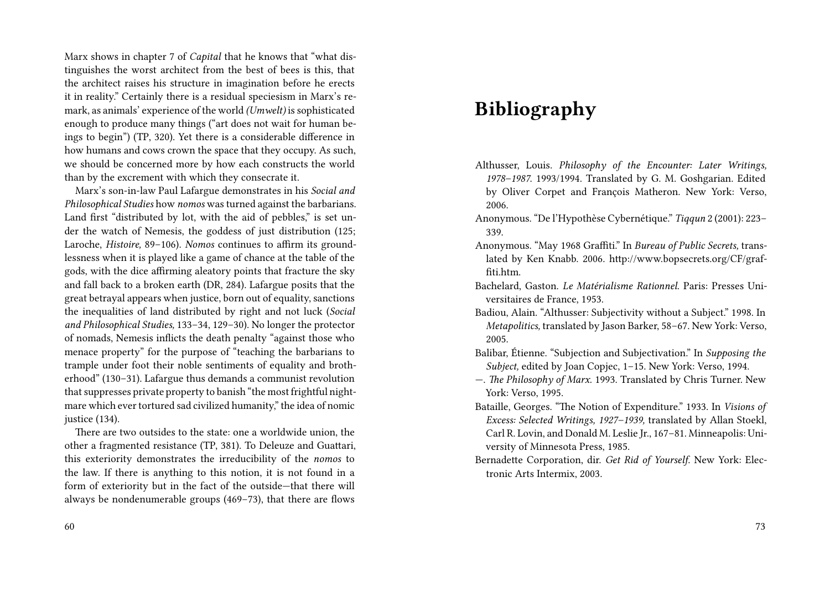Marx shows in chapter 7 of *Capital* that he knows that "what distinguishes the worst architect from the best of bees is this, that the architect raises his structure in imagination before he erects it in reality." Certainly there is a residual speciesism in Marx's remark, as animals' experience of the world *(Umwelt)* is sophisticated enough to produce many things ("art does not wait for human beings to begin") (TP, 320). Yet there is a considerable difference in how humans and cows crown the space that they occupy. As such, we should be concerned more by how each constructs the world than by the excrement with which they consecrate it.

Marx's son-in-law Paul Lafargue demonstrates in his *Social and Philosophical Studies* how *nomos* was turned against the barbarians. Land first "distributed by lot, with the aid of pebbles," is set under the watch of Nemesis, the goddess of just distribution (125; Laroche, *Histoire,* 89–106). *Nomos* continues to affirm its groundlessness when it is played like a game of chance at the table of the gods, with the dice affirming aleatory points that fracture the sky and fall back to a broken earth (DR, 284). Lafargue posits that the great betrayal appears when justice, born out of equality, sanctions the inequalities of land distributed by right and not luck (*Social and Philosophical Studies,* 133–34, 129–30). No longer the protector of nomads, Nemesis inflicts the death penalty "against those who menace property" for the purpose of "teaching the barbarians to trample under foot their noble sentiments of equality and brotherhood" (130–31). Lafargue thus demands a communist revolution that suppresses private property to banish "the most frightful nightmare which ever tortured sad civilized humanity," the idea of nomic justice (134).

There are two outsides to the state: one a worldwide union, the other a fragmented resistance (TP, 381). To Deleuze and Guattari, this exteriority demonstrates the irreducibility of the *nomos* to the law. If there is anything to this notion, it is not found in a form of exteriority but in the fact of the outside—that there will always be nondenumerable groups (469–73), that there are flows

# **Bibliography**

- Althusser, Louis. *Philosophy of the Encounter: Later Writings, 1978–1987*. 1993/1994. Translated by G. M. Goshgarian. Edited by Oliver Corpet and François Matheron. New York: Verso, 2006.
- Anonymous. "De l'Hypothèse Cybernétique." *Tiqqun* 2 (2001): 223– 339.
- Anonymous. "May 1968 Graffiti." In *Bureau of Public Secrets,* translated by Ken Knabb. 2006. http://www.bopsecrets.org/CF/graffiti.htm.
- Bachelard, Gaston. *Le Matérialisme Rationnel*. Paris: Presses Universitaires de France, 1953.
- Badiou, Alain. "Althusser: Subjectivity without a Subject." 1998. In *Metapolitics,* translated by Jason Barker, 58–67. New York: Verso, 2005.
- Balibar, Étienne. "Subjection and Subjectivation." In *Supposing the Subject,* edited by Joan Copjec, 1–15. New York: Verso, 1994.
- —. *The Philosophy of Marx*. 1993. Translated by Chris Turner. New York: Verso, 1995.
- Bataille, Georges. "The Notion of Expenditure." 1933. In *Visions of Excess: Selected Writings, 1927–1939,* translated by Allan Stoekl, Carl R. Lovin, and Donald M. Leslie Jr., 167–81. Minneapolis: University of Minnesota Press, 1985.
- Bernadette Corporation, dir. *Get Rid of Yourself*. New York: Electronic Arts Intermix, 2003.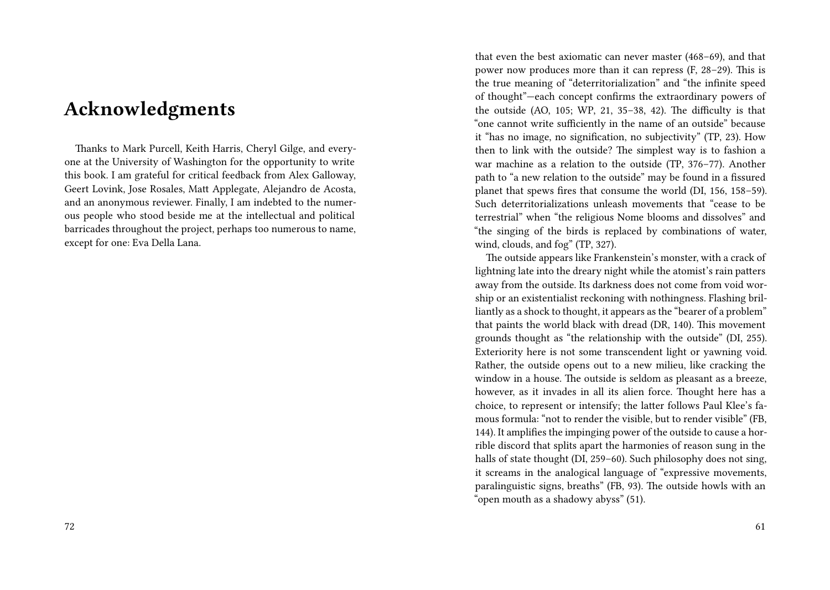# **Acknowledgments**

Thanks to Mark Purcell, Keith Harris, Cheryl Gilge, and everyone at the University of Washington for the opportunity to write this book. I am grateful for critical feedback from Alex Galloway, Geert Lovink, Jose Rosales, Matt Applegate, Alejandro de Acosta, and an anonymous reviewer. Finally, I am indebted to the numerous people who stood beside me at the intellectual and political barricades throughout the project, perhaps too numerous to name, except for one: Eva Della Lana.

that even the best axiomatic can never master (468–69), and that power now produces more than it can repress (F, 28–29). This is the true meaning of "deterritorialization" and "the infinite speed of thought"—each concept confirms the extraordinary powers of the outside (AO, 105; WP, 21, 35–38, 42). The difficulty is that "one cannot write sufficiently in the name of an outside" because it "has no image, no signification, no subjectivity" (TP, 23). How then to link with the outside? The simplest way is to fashion a war machine as a relation to the outside (TP, 376–77). Another path to "a new relation to the outside" may be found in a fissured planet that spews fires that consume the world (DI, 156, 158–59). Such deterritorializations unleash movements that "cease to be terrestrial" when "the religious Nome blooms and dissolves" and "the singing of the birds is replaced by combinations of water, wind, clouds, and fog" (TP, 327).

The outside appears like Frankenstein's monster, with a crack of lightning late into the dreary night while the atomist's rain patters away from the outside. Its darkness does not come from void worship or an existentialist reckoning with nothingness. Flashing brilliantly as a shock to thought, it appears as the "bearer of a problem" that paints the world black with dread (DR, 140). This movement grounds thought as "the relationship with the outside" (DI, 255). Exteriority here is not some transcendent light or yawning void. Rather, the outside opens out to a new milieu, like cracking the window in a house. The outside is seldom as pleasant as a breeze, however, as it invades in all its alien force. Thought here has a choice, to represent or intensify; the latter follows Paul Klee's famous formula: "not to render the visible, but to render visible" (FB, 144). It amplifies the impinging power of the outside to cause a horrible discord that splits apart the harmonies of reason sung in the halls of state thought (DI, 259–60). Such philosophy does not sing, it screams in the analogical language of "expressive movements, paralinguistic signs, breaths" (FB, 93). The outside howls with an "open mouth as a shadowy abyss" (51).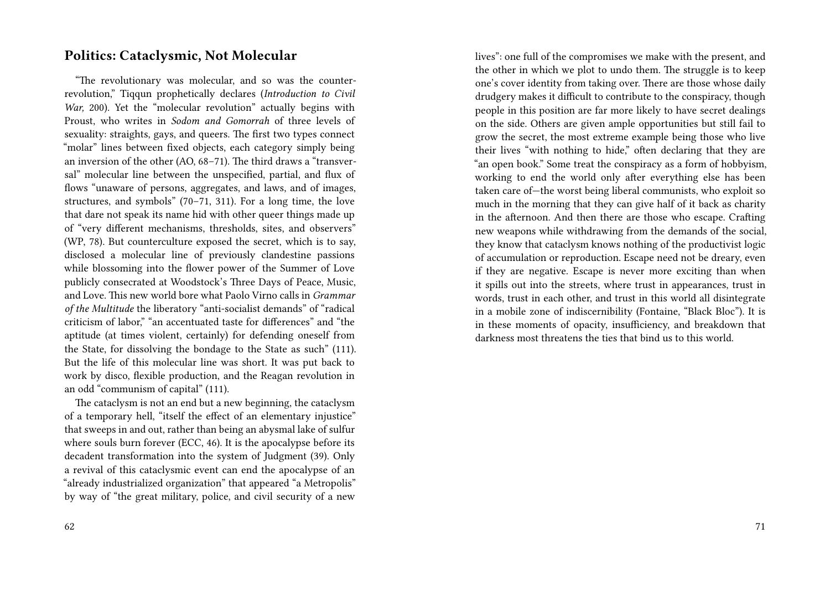## **Politics: Cataclysmic, Not Molecular**

"The revolutionary was molecular, and so was the counterrevolution," Tiqqun prophetically declares (*Introduction to Civil War,* 200). Yet the "molecular revolution" actually begins with Proust, who writes in *Sodom and Gomorrah* of three levels of sexuality: straights, gays, and queers. The first two types connect "molar" lines between fixed objects, each category simply being an inversion of the other (AO, 68–71). The third draws a "transversal" molecular line between the unspecified, partial, and flux of flows "unaware of persons, aggregates, and laws, and of images, structures, and symbols" (70–71, 311). For a long time, the love that dare not speak its name hid with other queer things made up of "very different mechanisms, thresholds, sites, and observers" (WP, 78). But counterculture exposed the secret, which is to say, disclosed a molecular line of previously clandestine passions while blossoming into the flower power of the Summer of Love publicly consecrated at Woodstock's Three Days of Peace, Music, and Love. This new world bore what Paolo Virno calls in *Grammar of the Multitude* the liberatory "anti-socialist demands" of "radical criticism of labor," "an accentuated taste for differences" and "the aptitude (at times violent, certainly) for defending oneself from the State, for dissolving the bondage to the State as such" (111). But the life of this molecular line was short. It was put back to work by disco, flexible production, and the Reagan revolution in an odd "communism of capital" (111).

The cataclysm is not an end but a new beginning, the cataclysm of a temporary hell, "itself the effect of an elementary injustice" that sweeps in and out, rather than being an abysmal lake of sulfur where souls burn forever (ECC, 46). It is the apocalypse before its decadent transformation into the system of Judgment (39). Only a revival of this cataclysmic event can end the apocalypse of an "already industrialized organization" that appeared "a Metropolis" by way of "the great military, police, and civil security of a new

lives": one full of the compromises we make with the present, and the other in which we plot to undo them. The struggle is to keep one's cover identity from taking over. There are those whose daily drudgery makes it difficult to contribute to the conspiracy, though people in this position are far more likely to have secret dealings on the side. Others are given ample opportunities but still fail to grow the secret, the most extreme example being those who live their lives "with nothing to hide," often declaring that they are "an open book." Some treat the conspiracy as a form of hobbyism, working to end the world only after everything else has been taken care of—the worst being liberal communists, who exploit so much in the morning that they can give half of it back as charity in the afternoon. And then there are those who escape. Crafting new weapons while withdrawing from the demands of the social, they know that cataclysm knows nothing of the productivist logic of accumulation or reproduction. Escape need not be dreary, even if they are negative. Escape is never more exciting than when it spills out into the streets, where trust in appearances, trust in words, trust in each other, and trust in this world all disintegrate in a mobile zone of indiscernibility (Fontaine, "Black Bloc"). It is in these moments of opacity, insufficiency, and breakdown that darkness most threatens the ties that bind us to this world.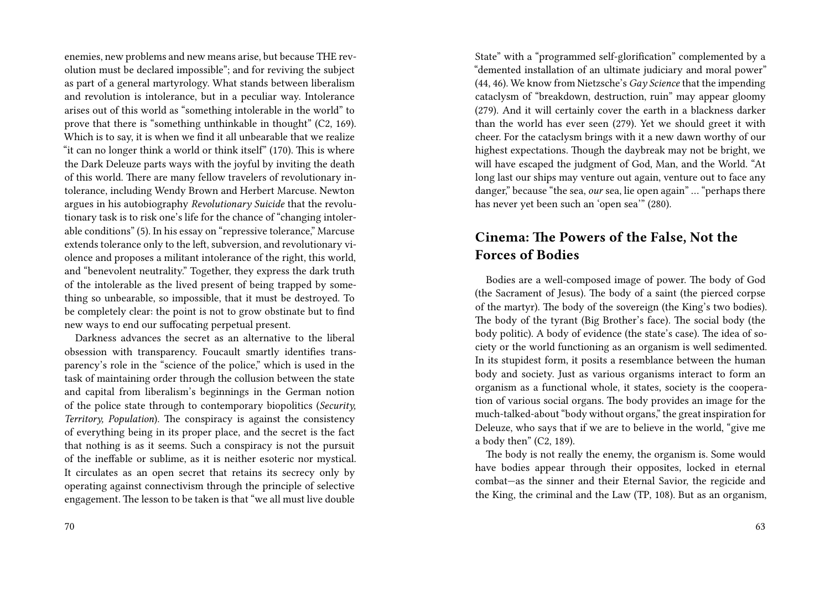enemies, new problems and new means arise, but because THE revolution must be declared impossible"; and for reviving the subject as part of a general martyrology. What stands between liberalism and revolution is intolerance, but in a peculiar way. Intolerance arises out of this world as "something intolerable in the world" to prove that there is "something unthinkable in thought" (C2, 169). Which is to say, it is when we find it all unbearable that we realize "it can no longer think a world or think itself" (170). This is where the Dark Deleuze parts ways with the joyful by inviting the death of this world. There are many fellow travelers of revolutionary intolerance, including Wendy Brown and Herbert Marcuse. Newton argues in his autobiography *Revolutionary Suicide* that the revolutionary task is to risk one's life for the chance of "changing intolerable conditions" (5). In his essay on "repressive tolerance," Marcuse extends tolerance only to the left, subversion, and revolutionary violence and proposes a militant intolerance of the right, this world, and "benevolent neutrality." Together, they express the dark truth of the intolerable as the lived present of being trapped by something so unbearable, so impossible, that it must be destroyed. To be completely clear: the point is not to grow obstinate but to find new ways to end our suffocating perpetual present.

Darkness advances the secret as an alternative to the liberal obsession with transparency. Foucault smartly identifies transparency's role in the "science of the police," which is used in the task of maintaining order through the collusion between the state and capital from liberalism's beginnings in the German notion of the police state through to contemporary biopolitics (*Security, Territory, Population*). The conspiracy is against the consistency of everything being in its proper place, and the secret is the fact that nothing is as it seems. Such a conspiracy is not the pursuit of the ineffable or sublime, as it is neither esoteric nor mystical. It circulates as an open secret that retains its secrecy only by operating against connectivism through the principle of selective engagement. The lesson to be taken is that "we all must live double

State" with a "programmed self-glorification" complemented by a "demented installation of an ultimate judiciary and moral power" (44, 46). We know from Nietzsche's *Gay Science* that the impending cataclysm of "breakdown, destruction, ruin" may appear gloomy (279). And it will certainly cover the earth in a blackness darker than the world has ever seen (279). Yet we should greet it with cheer. For the cataclysm brings with it a new dawn worthy of our highest expectations. Though the daybreak may not be bright, we will have escaped the judgment of God, Man, and the World. "At long last our ships may venture out again, venture out to face any danger," because "the sea, *our* sea, lie open again" … "perhaps there has never yet been such an 'open sea'" (280).

## **Cinema: The Powers of the False, Not the Forces of Bodies**

Bodies are a well-composed image of power. The body of God (the Sacrament of Jesus). The body of a saint (the pierced corpse of the martyr). The body of the sovereign (the King's two bodies). The body of the tyrant (Big Brother's face). The social body (the body politic). A body of evidence (the state's case). The idea of society or the world functioning as an organism is well sedimented. In its stupidest form, it posits a resemblance between the human body and society. Just as various organisms interact to form an organism as a functional whole, it states, society is the cooperation of various social organs. The body provides an image for the much-talked-about "body without organs," the great inspiration for Deleuze, who says that if we are to believe in the world, "give me a body then" (C2, 189).

The body is not really the enemy, the organism is. Some would have bodies appear through their opposites, locked in eternal combat—as the sinner and their Eternal Savior, the regicide and the King, the criminal and the Law (TP, 108). But as an organism,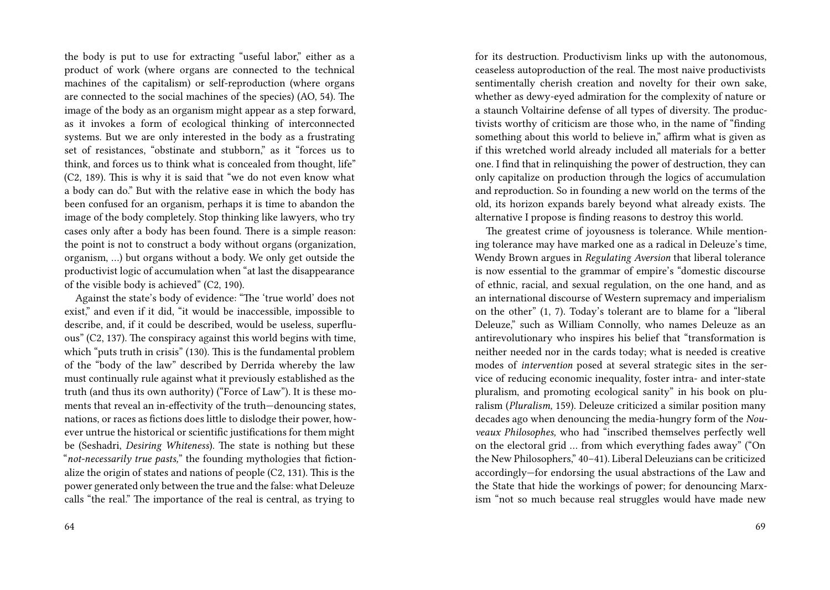the body is put to use for extracting "useful labor," either as a product of work (where organs are connected to the technical machines of the capitalism) or self-reproduction (where organs are connected to the social machines of the species) (AO, 54). The image of the body as an organism might appear as a step forward, as it invokes a form of ecological thinking of interconnected systems. But we are only interested in the body as a frustrating set of resistances, "obstinate and stubborn," as it "forces us to think, and forces us to think what is concealed from thought, life" (C2, 189). This is why it is said that "we do not even know what a body can do." But with the relative ease in which the body has been confused for an organism, perhaps it is time to abandon the image of the body completely. Stop thinking like lawyers, who try cases only after a body has been found. There is a simple reason: the point is not to construct a body without organs (organization, organism, …) but organs without a body. We only get outside the productivist logic of accumulation when "at last the disappearance of the visible body is achieved" (C2, 190).

Against the state's body of evidence: "The 'true world' does not exist," and even if it did, "it would be inaccessible, impossible to describe, and, if it could be described, would be useless, superfluous" (C2, 137). The conspiracy against this world begins with time, which "puts truth in crisis" (130). This is the fundamental problem of the "body of the law" described by Derrida whereby the law must continually rule against what it previously established as the truth (and thus its own authority) ("Force of Law"). It is these moments that reveal an in-effectivity of the truth—denouncing states, nations, or races as fictions does little to dislodge their power, however untrue the historical or scientific justifications for them might be (Seshadri, *Desiring Whiteness*). The state is nothing but these "*not-necessarily true pasts,*" the founding mythologies that fictionalize the origin of states and nations of people (C2, 131). This is the power generated only between the true and the false: what Deleuze calls "the real." The importance of the real is central, as trying to for its destruction. Productivism links up with the autonomous, ceaseless autoproduction of the real. The most naive productivists sentimentally cherish creation and novelty for their own sake, whether as dewy-eyed admiration for the complexity of nature or a staunch Voltairine defense of all types of diversity. The productivists worthy of criticism are those who, in the name of "finding something about this world to believe in," affirm what is given as if this wretched world already included all materials for a better one. I find that in relinquishing the power of destruction, they can only capitalize on production through the logics of accumulation and reproduction. So in founding a new world on the terms of the old, its horizon expands barely beyond what already exists. The alternative I propose is finding reasons to destroy this world.

The greatest crime of joyousness is tolerance. While mentioning tolerance may have marked one as a radical in Deleuze's time, Wendy Brown argues in *Regulating Aversion* that liberal tolerance is now essential to the grammar of empire's "domestic discourse of ethnic, racial, and sexual regulation, on the one hand, and as an international discourse of Western supremacy and imperialism on the other" (1, 7). Today's tolerant are to blame for a "liberal Deleuze," such as William Connolly, who names Deleuze as an antirevolutionary who inspires his belief that "transformation is neither needed nor in the cards today; what is needed is creative modes of *intervention* posed at several strategic sites in the service of reducing economic inequality, foster intra- and inter-state pluralism, and promoting ecological sanity" in his book on pluralism (*Pluralism,* 159). Deleuze criticized a similar position many decades ago when denouncing the media-hungry form of the *Nouveaux Philosophes,* who had "inscribed themselves perfectly well on the electoral grid … from which everything fades away" ("On the New Philosophers," 40–41). Liberal Deleuzians can be criticized accordingly—for endorsing the usual abstractions of the Law and the State that hide the workings of power; for denouncing Marxism "not so much because real struggles would have made new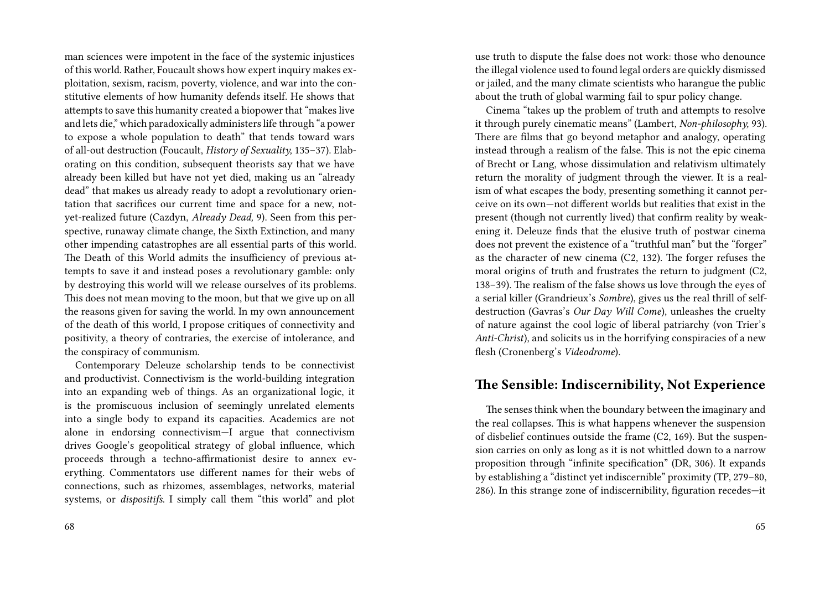man sciences were impotent in the face of the systemic injustices of this world. Rather, Foucault shows how expert inquiry makes exploitation, sexism, racism, poverty, violence, and war into the constitutive elements of how humanity defends itself. He shows that attempts to save this humanity created a biopower that "makes live and lets die," which paradoxically administers life through "a power to expose a whole population to death" that tends toward wars of all-out destruction (Foucault, *History of Sexuality,* 135–37). Elaborating on this condition, subsequent theorists say that we have already been killed but have not yet died, making us an "already dead" that makes us already ready to adopt a revolutionary orientation that sacrifices our current time and space for a new, notyet-realized future (Cazdyn, *Already Dead,* 9). Seen from this perspective, runaway climate change, the Sixth Extinction, and many other impending catastrophes are all essential parts of this world. The Death of this World admits the insufficiency of previous attempts to save it and instead poses a revolutionary gamble: only by destroying this world will we release ourselves of its problems. This does not mean moving to the moon, but that we give up on all the reasons given for saving the world. In my own announcement of the death of this world, I propose critiques of connectivity and positivity, a theory of contraries, the exercise of intolerance, and the conspiracy of communism.

Contemporary Deleuze scholarship tends to be connectivist and productivist. Connectivism is the world-building integration into an expanding web of things. As an organizational logic, it is the promiscuous inclusion of seemingly unrelated elements into a single body to expand its capacities. Academics are not alone in endorsing connectivism—I argue that connectivism drives Google's geopolitical strategy of global influence, which proceeds through a techno-affirmationist desire to annex everything. Commentators use different names for their webs of connections, such as rhizomes, assemblages, networks, material systems, or *dispositifs*. I simply call them "this world" and plot use truth to dispute the false does not work: those who denounce the illegal violence used to found legal orders are quickly dismissed or jailed, and the many climate scientists who harangue the public about the truth of global warming fail to spur policy change.

Cinema "takes up the problem of truth and attempts to resolve it through purely cinematic means" (Lambert, *Non-philosophy,* 93). There are films that go beyond metaphor and analogy, operating instead through a realism of the false. This is not the epic cinema of Brecht or Lang, whose dissimulation and relativism ultimately return the morality of judgment through the viewer. It is a realism of what escapes the body, presenting something it cannot perceive on its own—not different worlds but realities that exist in the present (though not currently lived) that confirm reality by weakening it. Deleuze finds that the elusive truth of postwar cinema does not prevent the existence of a "truthful man" but the "forger" as the character of new cinema (C2, 132). The forger refuses the moral origins of truth and frustrates the return to judgment (C2, 138–39). The realism of the false shows us love through the eyes of a serial killer (Grandrieux's *Sombre*), gives us the real thrill of selfdestruction (Gavras's *Our Day Will Come*), unleashes the cruelty of nature against the cool logic of liberal patriarchy (von Trier's *Anti-Christ*), and solicits us in the horrifying conspiracies of a new flesh (Cronenberg's *Videodrome*).

## **The Sensible: Indiscernibility, Not Experience**

The senses think when the boundary between the imaginary and the real collapses. This is what happens whenever the suspension of disbelief continues outside the frame (C2, 169). But the suspension carries on only as long as it is not whittled down to a narrow proposition through "infinite specification" (DR, 306). It expands by establishing a "distinct yet indiscernible" proximity (TP, 279–80, 286). In this strange zone of indiscernibility, figuration recedes—it